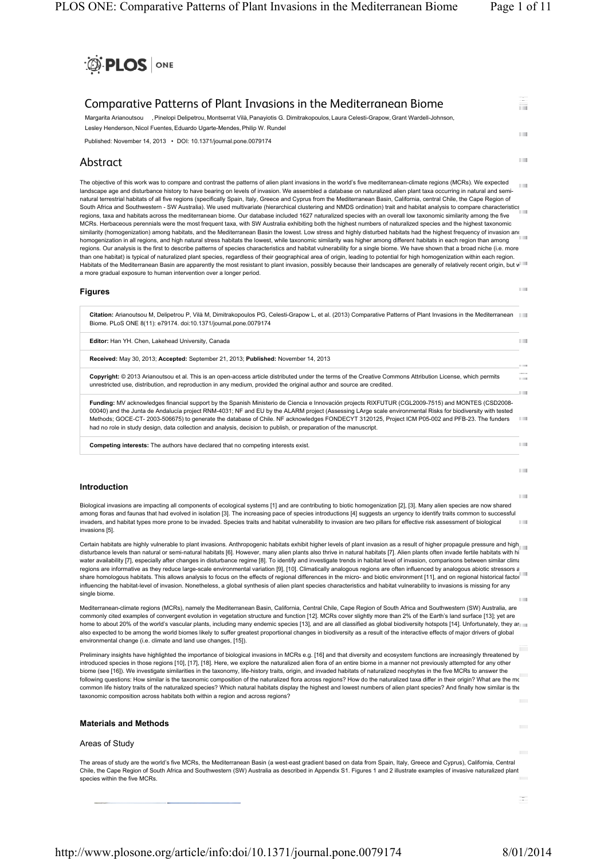

| Comparative Patterns of Plant Invasions in the Mediterranean Biome                                                                                                                                                                                                                                                                                                                                                                                                                                                                                                                                                                                                                                                                                                                                                                                                                                                                                                                                                                                                                                                                                                                                                                                                                                                                                                                                                                                                                                                                                                                                                                                                                                                                                                                                                                                                                                                                                                                                                            | īπ                                                   |
|-------------------------------------------------------------------------------------------------------------------------------------------------------------------------------------------------------------------------------------------------------------------------------------------------------------------------------------------------------------------------------------------------------------------------------------------------------------------------------------------------------------------------------------------------------------------------------------------------------------------------------------------------------------------------------------------------------------------------------------------------------------------------------------------------------------------------------------------------------------------------------------------------------------------------------------------------------------------------------------------------------------------------------------------------------------------------------------------------------------------------------------------------------------------------------------------------------------------------------------------------------------------------------------------------------------------------------------------------------------------------------------------------------------------------------------------------------------------------------------------------------------------------------------------------------------------------------------------------------------------------------------------------------------------------------------------------------------------------------------------------------------------------------------------------------------------------------------------------------------------------------------------------------------------------------------------------------------------------------------------------------------------------------|------------------------------------------------------|
| , Pinelopi Delipetrou, Montserrat Vilà, Panayiotis G. Dimitrakopoulos, Laura Celesti-Grapow, Grant Wardell-Johnson,<br>Margarita Arianoutsou                                                                                                                                                                                                                                                                                                                                                                                                                                                                                                                                                                                                                                                                                                                                                                                                                                                                                                                                                                                                                                                                                                                                                                                                                                                                                                                                                                                                                                                                                                                                                                                                                                                                                                                                                                                                                                                                                  |                                                      |
| Lesley Henderson, Nicol Fuentes, Eduardo Ugarte-Mendes, Philip W. Rundel                                                                                                                                                                                                                                                                                                                                                                                                                                                                                                                                                                                                                                                                                                                                                                                                                                                                                                                                                                                                                                                                                                                                                                                                                                                                                                                                                                                                                                                                                                                                                                                                                                                                                                                                                                                                                                                                                                                                                      | $\blacksquare$                                       |
| Published: November 14, 2013 • DOI: 10.1371/journal.pone.0079174                                                                                                                                                                                                                                                                                                                                                                                                                                                                                                                                                                                                                                                                                                                                                                                                                                                                                                                                                                                                                                                                                                                                                                                                                                                                                                                                                                                                                                                                                                                                                                                                                                                                                                                                                                                                                                                                                                                                                              |                                                      |
| Abstract                                                                                                                                                                                                                                                                                                                                                                                                                                                                                                                                                                                                                                                                                                                                                                                                                                                                                                                                                                                                                                                                                                                                                                                                                                                                                                                                                                                                                                                                                                                                                                                                                                                                                                                                                                                                                                                                                                                                                                                                                      | <b>I</b>                                             |
| The objective of this work was to compare and contrast the patterns of alien plant invasions in the world's five mediterranean-climate regions (MCRs). We expected<br>landscape age and disturbance history to have bearing on levels of invasion. We assembled a database on naturalized alien plant taxa occurring in natural and semi-<br>natural terrestrial habitats of all five regions (specifically Spain, Italy, Greece and Cyprus from the Mediterranean Basin, California, central Chile, the Cape Region of<br>South Africa and Southwestern - SW Australia). We used multivariate (hierarchical clustering and NMDS ordination) trait and habitat analysis to compare characteristics<br>regions, taxa and habitats across the mediterranean biome. Our database included 1627 naturalized species with an overall low taxonomic similarity among the five<br>MCRs. Herbaceous perennials were the most frequent taxa, with SW Australia exhibiting both the highest numbers of naturalized species and the highest taxonomic<br>similarity (homogenization) among habitats, and the Mediterranean Basin the lowest. Low stress and highly disturbed habitats had the highest frequency of invasion and<br>homogenization in all regions, and high natural stress habitats the lowest, while taxonomic similarity was higher among different habitats in each region than among<br>regions. Our analysis is the first to describe patterns of species characteristics and habitat vulnerability for a single biome. We have shown that a broad niche (i.e. more<br>than one habitat) is typical of naturalized plant species, regardless of their geographical area of origin, leading to potential for high homogenization within each region.<br>Habitats of the Mediterranean Basin are apparently the most resistant to plant invasion, possibly because their landscapes are generally of relatively recent origin, but will<br>a more gradual exposure to human intervention over a longer period.         | <b>I</b>                                             |
| <b>Figures</b>                                                                                                                                                                                                                                                                                                                                                                                                                                                                                                                                                                                                                                                                                                                                                                                                                                                                                                                                                                                                                                                                                                                                                                                                                                                                                                                                                                                                                                                                                                                                                                                                                                                                                                                                                                                                                                                                                                                                                                                                                | $\overline{1}$                                       |
| Citation: Arianoutsou M, Delipetrou P, Vilà M, Dimitrakopoulos PG, Celesti-Grapow L, et al. (2013) Comparative Patterns of Plant Invasions in the Mediterranean<br>Biome. PLoS ONE 8(11): e79174. doi:10.1371/journal.pone.0079174                                                                                                                                                                                                                                                                                                                                                                                                                                                                                                                                                                                                                                                                                                                                                                                                                                                                                                                                                                                                                                                                                                                                                                                                                                                                                                                                                                                                                                                                                                                                                                                                                                                                                                                                                                                            |                                                      |
| Editor: Han YH. Chen, Lakehead University, Canada                                                                                                                                                                                                                                                                                                                                                                                                                                                                                                                                                                                                                                                                                                                                                                                                                                                                                                                                                                                                                                                                                                                                                                                                                                                                                                                                                                                                                                                                                                                                                                                                                                                                                                                                                                                                                                                                                                                                                                             | $\blacksquare$                                       |
| Received: May 30, 2013; Accepted: September 21, 2013; Published: November 14, 2013                                                                                                                                                                                                                                                                                                                                                                                                                                                                                                                                                                                                                                                                                                                                                                                                                                                                                                                                                                                                                                                                                                                                                                                                                                                                                                                                                                                                                                                                                                                                                                                                                                                                                                                                                                                                                                                                                                                                            |                                                      |
| Copyright: @ 2013 Arianoutsou et al. This is an open-access article distributed under the terms of the Creative Commons Attribution License, which permits<br>unrestricted use, distribution, and reproduction in any medium, provided the original author and source are credited.                                                                                                                                                                                                                                                                                                                                                                                                                                                                                                                                                                                                                                                                                                                                                                                                                                                                                                                                                                                                                                                                                                                                                                                                                                                                                                                                                                                                                                                                                                                                                                                                                                                                                                                                           | $\overline{1}$                                       |
| Funding: MV acknowledges financial support by the Spanish Ministerio de Ciencia e Innovación projects RIXFUTUR (CGL2009-7515) and MONTES (CSD2008-<br>00040) and the Junta de Andalucía project RNM-4031; NF and EU by the ALARM project (Assessing LArge scale environmental Risks for biodiversity with tested<br>Methods; GOCE-CT- 2003-506675) to generate the database of Chile. NF acknowledges FONDECYT 3120125, Project ICM P05-002 and PFB-23. The funders<br>had no role in study design, data collection and analysis, decision to publish, or preparation of the manuscript.                                                                                                                                                                                                                                                                                                                                                                                                                                                                                                                                                                                                                                                                                                                                                                                                                                                                                                                                                                                                                                                                                                                                                                                                                                                                                                                                                                                                                                      | <b>I</b>                                             |
| <b>Competing interests:</b> The authors have declared that no competing interests exist.                                                                                                                                                                                                                                                                                                                                                                                                                                                                                                                                                                                                                                                                                                                                                                                                                                                                                                                                                                                                                                                                                                                                                                                                                                                                                                                                                                                                                                                                                                                                                                                                                                                                                                                                                                                                                                                                                                                                      | $\blacksquare$                                       |
| Introduction<br>Biological invasions are impacting all components of ecological systems [1] and are contributing to biotic homogenization [2], [3]. Many alien species are now shared<br>among floras and faunas that had evolved in isolation [3]. The increasing pace of species introductions [4] suggests an urgency to identify traits common to successful<br>invaders, and habitat types more prone to be invaded. Species traits and habitat vulnerability to invasion are two pillars for effective risk assessment of biological<br>invasions [5].<br>Certain habitats are highly vulnerable to plant invasions. Anthropogenic habitats exhibit higher levels of plant invasion as a result of higher propagule pressure and high<br>disturbance levels than natural or semi-natural habitats [6]. However, many alien plants also thrive in natural habitats [7]. Alien plants often invade fertile habitats with hi<br>water availability [7], especially after changes in disturbance regime [8]. To identify and investigate trends in habitat level of invasion, comparisons between similar clima<br>regions are informative as they reduce large-scale environmental variation [9], [10]. Climatically analogous regions are often influenced by analogous abiotic stressors a<br>share homologous habitats. This allows analysis to focus on the effects of regional differences in the micro- and biotic environment [11], and on regional historical factor<br>influencing the habitat-level of invasion. Nonetheless, a global synthesis of alien plant species characteristics and habitat vulnerability to invasions is missing for any<br>single biome.<br>Mediterranean-climate regions (MCRs), namely the Mediterranean Basin, California, Central Chile, Cape Region of South Africa and Southwestern (SW) Australia, are<br>commonly cited examples of convergent evolution in vegetation structure and function [12]. MCRs cover slightly more than 2% of the Earth's land surface [13]; yet are | $\overline{\phantom{a}}$<br>$\overline{\phantom{a}}$ |
| home to about 20% of the world's vascular plants, including many endemic species [13], and are all classified as global biodiversity hotspots [14]. Unfortunately, they are<br>also expected to be among the world biomes likely to suffer greatest proportional changes in biodiversity as a result of the interactive effects of major drivers of global<br>environmental change (i.e. climate and land use changes, [15]).                                                                                                                                                                                                                                                                                                                                                                                                                                                                                                                                                                                                                                                                                                                                                                                                                                                                                                                                                                                                                                                                                                                                                                                                                                                                                                                                                                                                                                                                                                                                                                                                 |                                                      |
| Preliminary insights have highlighted the importance of biological invasions in MCRs e.g. [16] and that diversity and ecosystem functions are increasingly threatened by<br>introduced species in those regions [10], [17], [18]. Here, we explore the naturalized alien flora of an entire biome in a manner not previously attempted for any other<br>biome (see [16]). We investigate similarities in the taxonomy, life-history traits, origin, and invaded habitats of naturalized neophytes in the five MCRs to answer the<br>following questions: How similar is the taxonomic composition of the naturalized flora across regions? How do the naturalized taxa differ in their origin? What are the mo<br>common life history traits of the naturalized species? Which natural habitats display the highest and lowest numbers of alien plant species? And finally how similar is the<br>taxonomic composition across habitats both within a region and across regions?                                                                                                                                                                                                                                                                                                                                                                                                                                                                                                                                                                                                                                                                                                                                                                                                                                                                                                                                                                                                                                               |                                                      |
| <b>Materials and Methods</b>                                                                                                                                                                                                                                                                                                                                                                                                                                                                                                                                                                                                                                                                                                                                                                                                                                                                                                                                                                                                                                                                                                                                                                                                                                                                                                                                                                                                                                                                                                                                                                                                                                                                                                                                                                                                                                                                                                                                                                                                  | <b>BUT</b>                                           |
| Areas of Study                                                                                                                                                                                                                                                                                                                                                                                                                                                                                                                                                                                                                                                                                                                                                                                                                                                                                                                                                                                                                                                                                                                                                                                                                                                                                                                                                                                                                                                                                                                                                                                                                                                                                                                                                                                                                                                                                                                                                                                                                |                                                      |
|                                                                                                                                                                                                                                                                                                                                                                                                                                                                                                                                                                                                                                                                                                                                                                                                                                                                                                                                                                                                                                                                                                                                                                                                                                                                                                                                                                                                                                                                                                                                                                                                                                                                                                                                                                                                                                                                                                                                                                                                                               |                                                      |

The areas of study are the world's five MCRs, the Mediterranean Basin (a west-east gradient based on data from Spain, Italy, Greece and Cyprus), California, Central Chile, the Cape Region of South Africa and Southwestern (SW) Australia as described in Appendix S1. Figures 1 and 2 illustrate examples of invasive naturalized plant species within the five MCRs.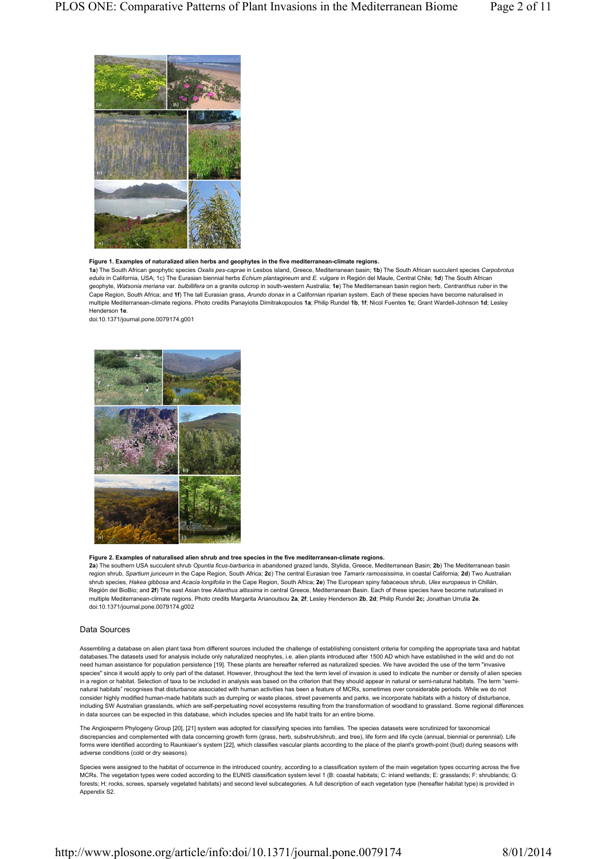

### **Figure 1. Examples of naturalized alien herbs and geophytes in the five mediterranean-climate regions.**

**1a**) The South African geophytic species *Oxalis pes-caprae* in Lesbos island, Greece, Mediterranean basin; **1b**) The South African succulent species *Carpobrotus edulis* in California, USA; 1c) The Eurasian biennial herbs *Echium plantagineum* and *E. vulgare* in Región del Maule, Central Chile; **1d**) The South African geophyte, *Watsonia meriana* var. *bulbillifera* on a granite outcrop in south-western Australia; **1e**) The Mediterranean basin region herb, *Centranthus ruber* in the Cape Region, South Africa; and **1f**) The tall Eurasian grass, *Arundo donax* in a Californian riparian system. Each of these species have become naturalised in multiple Mediterranean-climate regions. Photo credits Panayiotis Dimitrakopoulos **1a**; Philip Rundel **1b**, **1f**; Nicol Fuentes **1c**; Grant Wardell-Johnson **1d**; Lesley Henderson **1e**.

doi:10.1371/journal.pone.0079174.g001



### **Figure 2. Examples of naturalised alien shrub and tree species in the five mediterranean-climate regions.**

**2a**) The southern USA succulent shrub *Opuntia ficus-barbarica* in abandoned grazed lands, Stylida, Greece, Mediterranean Basin; **2b**) The Mediterranean basin region shrub, *Spartium junceum* in the Cape Region, South Africa; **2c**) The central Eurasian tree *Tamarix ramossissima*, in coastal California; **2d**) Two Australian shrub species, *Hakea gibbosa* and *Acacia longifolia* in the Cape Region, South Africa; **2e**) The European spiny fabaceous shrub, *Ulex europaeus* in Chillán, Región del BioBio; and **2f**) The east Asian tree *Ailanthus altissima* in central Greece, Mediterranean Basin. Each of these species have become naturalised in multiple Mediterranean-climate regions. Photo credits Margarita Arianoutsou **2a**, **2f**; Lesley Henderson **2b**, **2d**; Philip Rundel **2c;** Jonathan Urrutia **2e**. doi:10.1371/journal.pone.0079174.g002

## Data Sources

Assembling a database on alien plant taxa from different sources included the challenge of establishing consistent criteria for compiling the appropriate taxa and habitat databases.The datasets used for analysis include only naturalized neophytes, i.e. alien plants introduced after 1500 AD which have established in the wild and do not need human assistance for population persistence [19]. These plants are hereafter referred as naturalized species. We have avoided the use of the term "invasive species" since it would apply to only part of the dataset. However, throughout the text the term level of invasion is used to indicate the number or density of alien species in a region or habitat. Selection of taxa to be included in analysis was based on the criterion that they should appear in natural or semi-natural habitats. The term "seminatural habitats" recognises that disturbance associated with human activities has been a feature of MCRs, sometimes over considerable periods. While we do not consider highly modified human-made habitats such as dumping or waste places, street pavements and parks, we incorporate habitats with a history of disturbance, including SW Australian grasslands, which are self-perpetuating novel ecosystems resulting from the transformation of woodland to grassland. Some regional differences in data sources can be expected in this database, which includes species and life habit traits for an entire biome.

The Angiosperm Phylogeny Group [20], [21] system was adopted for classifying species into families. The species datasets were scrutinized for taxonomical discrepancies and complemented with data concerning growth form (grass, herb, subshrub/shrub, and tree), life form and life cycle (annual, biennial or perennial). Life forms were identified according to Raunkiaer's system [22], which classifies vascular plants according to the place of the plant's growth-point (bud) during seasons with adverse conditions (cold or dry seasons).

Species were assigned to the habitat of occurrence in the introduced country, according to a classification system of the main vegetation types occurring across the five MCRs. The vegetation types were coded according to the EUNIS classification system level 1 (B: coastal habitats; C: inland wetlands; E: grasslands; F: shrublands; G: forests; H: rocks, screes, sparsely vegetated habitats) and second level subcategories. A full description of each vegetation type (hereafter habitat type) is provided in Annendix S2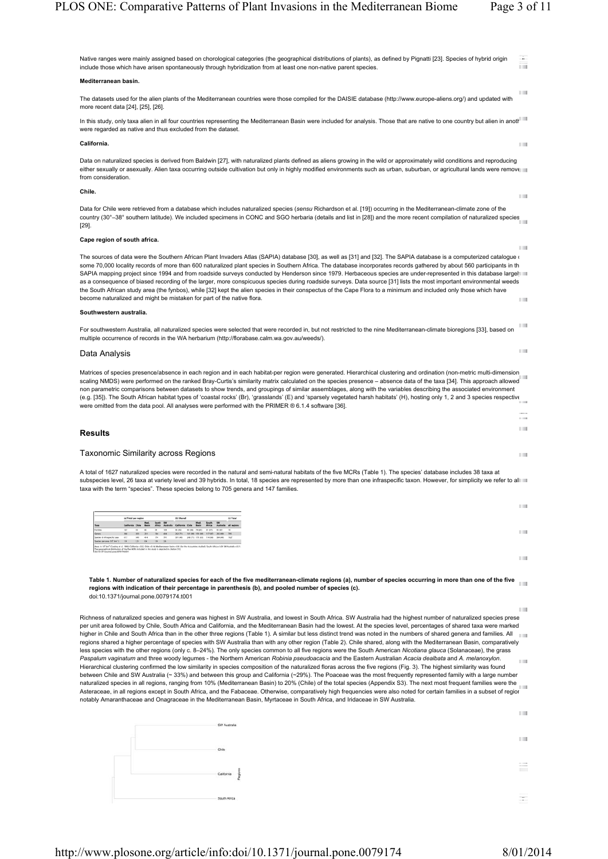| Native ranges were mainly assigned based on chorological categories (the geographical distributions of plants), as defined by Pignatti [23]. Species of hybrid origin<br>include those which have arisen spontaneously through hybridization from at least one non-native parent species.                                                                                                                                                                                                                                                                                                                                                                                                                                                                                                                                                                                                                                                                                                                                                                                                                                                                                                                                                                                                                                                                                                                                                                                                                                                                                                                                                                                                                                                |                                  |
|------------------------------------------------------------------------------------------------------------------------------------------------------------------------------------------------------------------------------------------------------------------------------------------------------------------------------------------------------------------------------------------------------------------------------------------------------------------------------------------------------------------------------------------------------------------------------------------------------------------------------------------------------------------------------------------------------------------------------------------------------------------------------------------------------------------------------------------------------------------------------------------------------------------------------------------------------------------------------------------------------------------------------------------------------------------------------------------------------------------------------------------------------------------------------------------------------------------------------------------------------------------------------------------------------------------------------------------------------------------------------------------------------------------------------------------------------------------------------------------------------------------------------------------------------------------------------------------------------------------------------------------------------------------------------------------------------------------------------------------|----------------------------------|
| Mediterranean basin.                                                                                                                                                                                                                                                                                                                                                                                                                                                                                                                                                                                                                                                                                                                                                                                                                                                                                                                                                                                                                                                                                                                                                                                                                                                                                                                                                                                                                                                                                                                                                                                                                                                                                                                     | l III                            |
| The datasets used for the alien plants of the Mediterranean countries were those compiled for the DAISIE database (http://www.europe-aliens.org/) and updated with<br>more recent data [24], [25], [26].                                                                                                                                                                                                                                                                                                                                                                                                                                                                                                                                                                                                                                                                                                                                                                                                                                                                                                                                                                                                                                                                                                                                                                                                                                                                                                                                                                                                                                                                                                                                 |                                  |
| In this study, only taxa alien in all four countries representing the Mediterranean Basin were included for analysis. Those that are native to one country but alien in anott<br>were regarded as native and thus excluded from the dataset.                                                                                                                                                                                                                                                                                                                                                                                                                                                                                                                                                                                                                                                                                                                                                                                                                                                                                                                                                                                                                                                                                                                                                                                                                                                                                                                                                                                                                                                                                             |                                  |
| California.                                                                                                                                                                                                                                                                                                                                                                                                                                                                                                                                                                                                                                                                                                                                                                                                                                                                                                                                                                                                                                                                                                                                                                                                                                                                                                                                                                                                                                                                                                                                                                                                                                                                                                                              | $\blacksquare$                   |
| Data on naturalized species is derived from Baldwin [27], with naturalized plants defined as aliens growing in the wild or approximately wild conditions and reproducing<br>either sexually or asexually. Alien taxa occurring outside cultivation but only in highly modified environments such as urban, suburban, or agricultural lands were remove<br>from consideration.                                                                                                                                                                                                                                                                                                                                                                                                                                                                                                                                                                                                                                                                                                                                                                                                                                                                                                                                                                                                                                                                                                                                                                                                                                                                                                                                                            |                                  |
| Chile.                                                                                                                                                                                                                                                                                                                                                                                                                                                                                                                                                                                                                                                                                                                                                                                                                                                                                                                                                                                                                                                                                                                                                                                                                                                                                                                                                                                                                                                                                                                                                                                                                                                                                                                                   | $\blacksquare$                   |
| Data for Chile were retrieved from a database which includes naturalized species (sensu Richardson et al. [19]) occurring in the Mediterranean-climate zone of the<br>country (30°-38° southern latitude). We included specimens in CONC and SGO herbaria (details and list in [28]) and the more recent compilation of naturalized species<br>$[29]$ .                                                                                                                                                                                                                                                                                                                                                                                                                                                                                                                                                                                                                                                                                                                                                                                                                                                                                                                                                                                                                                                                                                                                                                                                                                                                                                                                                                                  |                                  |
| Cape region of south africa.                                                                                                                                                                                                                                                                                                                                                                                                                                                                                                                                                                                                                                                                                                                                                                                                                                                                                                                                                                                                                                                                                                                                                                                                                                                                                                                                                                                                                                                                                                                                                                                                                                                                                                             |                                  |
| The sources of data were the Southern African Plant Invaders Atlas (SAPIA) database [30], as well as [31] and [32]. The SAPIA database is a computerized catalogue of<br>some 70,000 locality records of more than 600 naturalized plant species in Southern Africa. The database incorporates records gathered by about 560 participants in th<br>SAPIA mapping project since 1994 and from roadside surveys conducted by Henderson since 1979. Herbaceous species are under-represented in this database largel!<br>as a consequence of biased recording of the larger, more conspicuous species during roadside surveys. Data source [31] lists the most important environmental weeds<br>the South African study area (the fynbos), while [32] kept the alien species in their conspectus of the Cape Flora to a minimum and included only those which have<br>become naturalized and might be mistaken for part of the native flora.                                                                                                                                                                                                                                                                                                                                                                                                                                                                                                                                                                                                                                                                                                                                                                                                | $\blacksquare$<br>$\blacksquare$ |
| Southwestern australia.                                                                                                                                                                                                                                                                                                                                                                                                                                                                                                                                                                                                                                                                                                                                                                                                                                                                                                                                                                                                                                                                                                                                                                                                                                                                                                                                                                                                                                                                                                                                                                                                                                                                                                                  |                                  |
| For southwestern Australia, all naturalized species were selected that were recorded in, but not restricted to the nine Mediterranean-climate bioregions [33], based on<br>multiple occurrence of records in the WA herbarium (http://florabase.calm.wa.gov.au/weeds/).                                                                                                                                                                                                                                                                                                                                                                                                                                                                                                                                                                                                                                                                                                                                                                                                                                                                                                                                                                                                                                                                                                                                                                                                                                                                                                                                                                                                                                                                  | $\blacksquare$                   |
| Data Analysis                                                                                                                                                                                                                                                                                                                                                                                                                                                                                                                                                                                                                                                                                                                                                                                                                                                                                                                                                                                                                                                                                                                                                                                                                                                                                                                                                                                                                                                                                                                                                                                                                                                                                                                            | $\Box$                           |
| Matrices of species presence/absence in each region and in each habitat-per region were generated. Hierarchical clustering and ordination (non-metric multi-dimension<br>scaling NMDS) were performed on the ranked Bray-Curtis's similarity matrix calculated on the species presence - absence data of the taxa [34]. This approach allowed<br>non parametric comparisons between datasets to show trends, and groupings of similar assemblages, along with the variables describing the associated environment<br>(e.g. [35]). The South African habitat types of 'coastal rocks' (Br), 'grasslands' (E) and 'sparsely vegetated harsh habitats' (H), hosting only 1, 2 and 3 species respective<br>were omitted from the data pool. All analyses were performed with the PRIMER ® 6.1.4 software [36].                                                                                                                                                                                                                                                                                                                                                                                                                                                                                                                                                                                                                                                                                                                                                                                                                                                                                                                               |                                  |
|                                                                                                                                                                                                                                                                                                                                                                                                                                                                                                                                                                                                                                                                                                                                                                                                                                                                                                                                                                                                                                                                                                                                                                                                                                                                                                                                                                                                                                                                                                                                                                                                                                                                                                                                          | <b>CONTRACTOR</b>                |
| <b>Results</b>                                                                                                                                                                                                                                                                                                                                                                                                                                                                                                                                                                                                                                                                                                                                                                                                                                                                                                                                                                                                                                                                                                                                                                                                                                                                                                                                                                                                                                                                                                                                                                                                                                                                                                                           | <b>I</b>                         |
|                                                                                                                                                                                                                                                                                                                                                                                                                                                                                                                                                                                                                                                                                                                                                                                                                                                                                                                                                                                                                                                                                                                                                                                                                                                                                                                                                                                                                                                                                                                                                                                                                                                                                                                                          |                                  |
| <b>Taxonomic Similarity across Regions</b>                                                                                                                                                                                                                                                                                                                                                                                                                                                                                                                                                                                                                                                                                                                                                                                                                                                                                                                                                                                                                                                                                                                                                                                                                                                                                                                                                                                                                                                                                                                                                                                                                                                                                               | $\overline{1}$                   |
| A total of 1627 naturalized species were recorded in the natural and semi-natural habitats of the five MCRs (Table 1). The species' database includes 38 taxa at<br>subspecies level, 26 taxa at variety level and 39 hybrids. In total, 18 species are represented by more than one infraspecific taxon. However, for simplicity we refer to all<br>taxa with the term "species". These species belong to 705 genera and 147 families.                                                                                                                                                                                                                                                                                                                                                                                                                                                                                                                                                                                                                                                                                                                                                                                                                                                                                                                                                                                                                                                                                                                                                                                                                                                                                                  |                                  |
|                                                                                                                                                                                                                                                                                                                                                                                                                                                                                                                                                                                                                                                                                                                                                                                                                                                                                                                                                                                                                                                                                                                                                                                                                                                                                                                                                                                                                                                                                                                                                                                                                                                                                                                                          |                                  |
| (a) Total per regio<br>(b) Shared<br>(ic) Total<br>via Chile Black<br>South SW<br>Africa Australia California Chile Basin<br>South<br>Africa<br><b>SW</b><br>Aunts<br>96, 190<br>44, 640, 74, 675<br>53.60<br>95.97<br>203 231 134 424 242 391270 1811090 1591091 1171070 2921890<br>174<br>301 (49)<br>248 (71) 178 (43) 114 (66) 384 (49)<br>cies & inhausecific tax<br>414<br>$\gamma$<br>$23 - 64 - 19 - 26$<br>ecles per area (10 <sup>9</sup> km <sup>2</sup> ) 1.9                                                                                                                                                                                                                                                                                                                                                                                                                                                                                                                                                                                                                                                                                                                                                                                                                                                                                                                                                                                                                                                                                                                                                                                                                                                                | $\blacksquare$                   |
| eas in 10° km² (Cowling et al. 1996). Galifonia =0.32, Olde =0.14, Mediterranean Basin =0.03 (for the 4 countries studied), South Africa =0.09 SW Australia =0.31.<br>le geographical distribution of the five MCRs included in t                                                                                                                                                                                                                                                                                                                                                                                                                                                                                                                                                                                                                                                                                                                                                                                                                                                                                                                                                                                                                                                                                                                                                                                                                                                                                                                                                                                                                                                                                                        | <b>I</b>                         |
|                                                                                                                                                                                                                                                                                                                                                                                                                                                                                                                                                                                                                                                                                                                                                                                                                                                                                                                                                                                                                                                                                                                                                                                                                                                                                                                                                                                                                                                                                                                                                                                                                                                                                                                                          |                                  |
| Table 1. Number of naturalized species for each of the five mediterranean-climate regions (a), number of species occurring in more than one of the five<br>regions with indication of their percentage in parenthesis (b), and pooled number of species (c).<br>doi:10.1371/journal.pone.0079174.t001                                                                                                                                                                                                                                                                                                                                                                                                                                                                                                                                                                                                                                                                                                                                                                                                                                                                                                                                                                                                                                                                                                                                                                                                                                                                                                                                                                                                                                    | <b>LIB</b>                       |
|                                                                                                                                                                                                                                                                                                                                                                                                                                                                                                                                                                                                                                                                                                                                                                                                                                                                                                                                                                                                                                                                                                                                                                                                                                                                                                                                                                                                                                                                                                                                                                                                                                                                                                                                          | <b>THE</b>                       |
| Richness of naturalized species and genera was highest in SW Australia, and lowest in South Africa. SW Australia had the highest number of naturalized species prese<br>per unit area followed by Chile, South Africa and California, and the Mediterranean Basin had the lowest. At the species level, percentages of shared taxa were marked<br>higher in Chile and South Africa than in the other three regions (Table 1). A similar but less distinct trend was noted in the numbers of shared genera and families. All<br>regions shared a higher percentage of species with SW Australia than with any other region (Table 2). Chile shared, along with the Mediterranean Basin, comparatively<br>less species with the other regions (only c. 8-24%). The only species common to all five regions were the South American Nicotiana glauca (Solanaceae), the grass<br>Paspalum vaginatum and three woody legumes - the Northern American Robinia pseudoacacia and the Eastern Australian Acacia dealbata and A. melanoxylon.<br>Hierarchical clustering confirmed the low similarity in species composition of the naturalized floras across the five regions (Fig. 3). The highest similarity was found<br>between Chile and SW Australia (~33%) and between this group and California (~29%). The Poaceae was the most frequently represented family with a large number<br>naturalized species in all regions, ranging from 10% (Mediterranean Basin) to 20% (Chile) of the total species (Appendix S3). The next most frequent families were the<br>Asteraceae, in all regions except in South Africa, and the Fabaceae. Otherwise, comparatively high frequencies were also noted for certain families in a subset of regior | <b>I</b>                         |
| notably Amaranthaceae and Onagraceae in the Mediterranean Basin, Myrtaceae in South Africa, and Iridaceae in SW Australia.                                                                                                                                                                                                                                                                                                                                                                                                                                                                                                                                                                                                                                                                                                                                                                                                                                                                                                                                                                                                                                                                                                                                                                                                                                                                                                                                                                                                                                                                                                                                                                                                               |                                  |
| SW Australia                                                                                                                                                                                                                                                                                                                                                                                                                                                                                                                                                                                                                                                                                                                                                                                                                                                                                                                                                                                                                                                                                                                                                                                                                                                                                                                                                                                                                                                                                                                                                                                                                                                                                                                             | $\overline{1}$                   |
|                                                                                                                                                                                                                                                                                                                                                                                                                                                                                                                                                                                                                                                                                                                                                                                                                                                                                                                                                                                                                                                                                                                                                                                                                                                                                                                                                                                                                                                                                                                                                                                                                                                                                                                                          |                                  |
|                                                                                                                                                                                                                                                                                                                                                                                                                                                                                                                                                                                                                                                                                                                                                                                                                                                                                                                                                                                                                                                                                                                                                                                                                                                                                                                                                                                                                                                                                                                                                                                                                                                                                                                                          |                                  |
|                                                                                                                                                                                                                                                                                                                                                                                                                                                                                                                                                                                                                                                                                                                                                                                                                                                                                                                                                                                                                                                                                                                                                                                                                                                                                                                                                                                                                                                                                                                                                                                                                                                                                                                                          |                                  |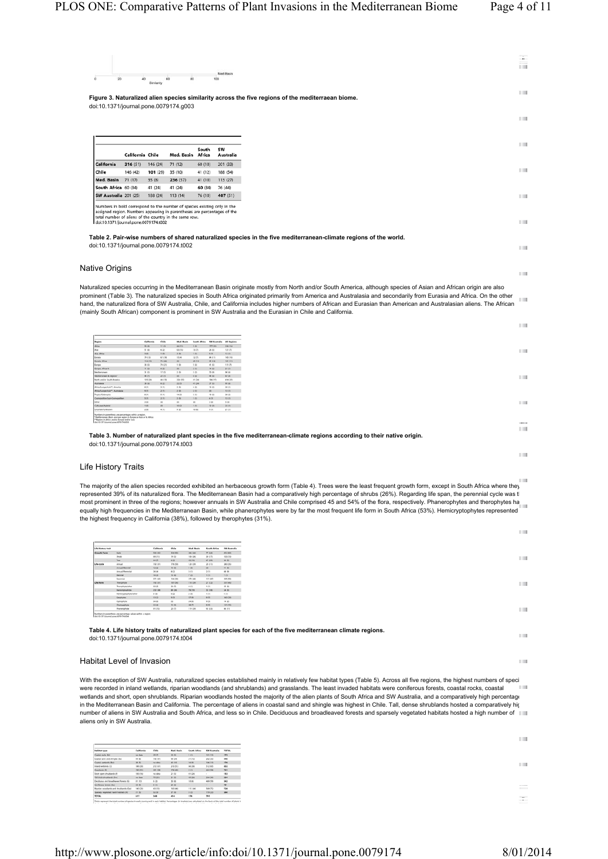| Med Basin<br>$20 \,$<br>80<br>100<br>Similarity<br>Figure 3. Naturalized alien species similarity across the five regions of the mediterraean biome.<br>doi:10.1371/journal.pone.0079174.g003<br><b>SW</b><br>South<br>California Chile<br>Med. Basin<br>Africa<br>Australia<br>California<br>316 (51)<br>201 (33)<br>146 (24)<br>71 (12)<br>60 (10)<br>Chile<br>146 (42)<br>101(29)<br>35 (10)<br>41 (12)<br>188 (54)<br>Med. Basin<br>71 (17)<br>35 (8)<br>236 (57)<br>41 (10)<br>113 (27)<br>South Africa 60 (34)<br>41 (24)<br>60 (34)<br>41 (24)<br>76 (44)<br>SW Australia 201 (25)<br>113 (14)<br>407 (51)<br>188 (24)<br>76 (10)<br>Numbers in bold correspond to the number of species existing only in the<br>assigned region. Numbers appearing in parentheses are percentages of the<br>total number of aliens of the country in the same row.<br>doi:10.1371/journal.pone.0079174.t002<br>Table 2. Pair-wise numbers of shared naturalized species in the five mediterranean-climate regions of the world.<br>doi:10.1371/journal.pone.0079174.t002<br><b>Native Origins</b><br>Naturalized species occurring in the Mediterranean Basin originate mostly from North and/or South America, although species of Asian and African origin are also<br>prominent (Table 3). The naturalized species in South Africa originated primarily from America and Australasia and secondarily from Eurasia and Africa. On the other<br>hand, the naturalized flora of SW Australia, Chile, and California includes higher numbers of African and Eurasian than American and Australasian aliens. The African<br>(mainly South African) component is prominent in SW Australia and the Eurasian in Chile and California.<br>Calify<br><b>Outs</b><br>South Africa<br><b>SW Australia</b><br>All Reg<br>Med. Basic<br>50 illi<br>11(3)<br>44 (11)<br>5(3)<br>177 (22)<br>226 (14)<br>6Q<br>36 (J<br>sia, Africa<br>3(0)<br>169<br>240<br>1(0)<br>9(0)<br>32 (3)<br>rasia, Africa<br>116 (79)<br>76 (22)<br>(0)<br>25 (14)<br>95 (12)<br>181 (11)<br>rope, Africa N<br>21 (3)<br>11(25)<br>$6 \, \times \, 20$<br>(0)<br>$2\times$<br>14 (2)<br>dheranean & regions <sup>a</sup><br>25 (7)<br>47.00<br>44 Ch<br>$6\times$<br>44 992<br>$\mathfrak{m}$<br>rth and/or South America<br>125 (20<br>44 (13)<br>226 (55)<br>41.04<br>414 (25)<br>600<br>22 (5)<br>41(2)<br>37 (f)<br>转换<br>E(T)<br>4Q<br>13(2)<br>$9.00$<br>(0)<br>33 (3)<br>Kadunge/Adam, Austra<br>2(0)<br>$2\,(0)$<br>ø<br>13 <sub>0</sub><br>3(1)<br>2(1)<br>2(0)<br>1(0)<br>$6.00$<br>13 (1)<br>1(0)<br>$\overline{a}$<br>10 (2)<br>100<br>12 (2)<br>22(7)<br>Table 3. Number of naturalized plant species in the five mediterranean-climate regions according to their native origin.<br>doi:10.1371/journal.pone.0079174.t003<br>Life History Traits<br>The majority of the alien species recorded exhibited an herbaceous growth form (Table 4). Trees were the least frequent growth form, except in South Africa where they<br>represented 39% of its naturalized flora. The Mediterranean Basin had a comparatively high percentage of shrubs (26%). Regarding life span, the perennial cycle was t<br>most prominent in three of the regions; however annuals in SW Australia and Chile comprised 45 and 54% of the flora, respectively. Phanerophytes and therophytes ha<br>equally high frequencies in the Mediterranean Basin, while phanerophytes were by far the most frequent life form in South Africa (53%). Hemicryptophytes represented<br>the highest frequency in California (38%), followed by therophytes (31%).<br><b>Be history trait</b><br>California<br>Oils<br>Med. Best<br>South Africa<br><b>SW Australia</b><br>504 (82)<br>324 (93)<br>652 (82)<br>wth Form<br>266 (64)<br>77 (44)<br>46 (7)<br>6(2)<br>42 (10)<br>67 (39)<br>36 (S)<br>Tree<br>fe cycl<br>120 (2)<br>12(25)<br>16(5)<br>1.01<br>41 (5)<br>Annual/Bie<br>$\mathbf{a}$<br>13 (4)<br>2(2)<br>$100 -$<br><b>Bennial</b><br>16 CB<br>7 00<br>279 166<br>371 060<br>136.09<br>151.00<br>395 (50<br>$257.0\%$<br>Therophyte<br>187 (54)<br>192 (31)<br>118 (29)<br>21 (12)<br><b>232 OID</b><br>78.018<br>32 (18)<br>24(30)<br>#9 (24)<br>010<br>$13 \, \mathrm{Gb}$<br>37 (%)<br>9 (5)<br>160 (20)<br>14 (2)<br>34 (6)<br>24 (6)<br>22 (4)<br>12(30)<br>28(7)<br>$9.0\%$<br>121 (15)<br>119 (29)<br>92 (53)<br>86 (11)<br>91 (15)<br>Table 4. Life history traits of naturalized plant species for each of the five mediterranean climate regions.<br>doi:10.1371/journal.pone.0079174.t004<br>Habitat Level of Invasion<br>With the exception of SW Australia, naturalized species established mainly in relatively few habitat types (Table 5). Across all five regions, the highest numbers of speci<br>were recorded in inland wetlands, riparian woodlands (and shrublands) and grasslands. The least invaded habitats were coniferous forests, coastal rocks, coastal<br>wetlands and short, open shrublands. Riparian woodlands hosted the majority of the alien plants of South Africa and SW Australia, and a comparatively high percentage<br>in the Mediterranean Basin and California. The percentage of aliens in coastal sand and shingle was highest in Chile. Tall, dense shrublands hosted a comparatively hig<br>number of aliens in SW Australia and South Africa, and less so in Chile. Deciduous and broadleaved forests and sparsely vegetated habitats hosted a high number of<br>aliens only in SW Australia. |  |  |  |  |
|------------------------------------------------------------------------------------------------------------------------------------------------------------------------------------------------------------------------------------------------------------------------------------------------------------------------------------------------------------------------------------------------------------------------------------------------------------------------------------------------------------------------------------------------------------------------------------------------------------------------------------------------------------------------------------------------------------------------------------------------------------------------------------------------------------------------------------------------------------------------------------------------------------------------------------------------------------------------------------------------------------------------------------------------------------------------------------------------------------------------------------------------------------------------------------------------------------------------------------------------------------------------------------------------------------------------------------------------------------------------------------------------------------------------------------------------------------------------------------------------------------------------------------------------------------------------------------------------------------------------------------------------------------------------------------------------------------------------------------------------------------------------------------------------------------------------------------------------------------------------------------------------------------------------------------------------------------------------------------------------------------------------------------------------------------------------------------------------------------------------------------------------------------------------------------------------------------------------------------------------------------------------------------------------------------------------------------------------------------------------------------------------------------------------------------------------------------------------------------------------------------------------------------------------------------------------------------------------------------------------------------------------------------------------------------------------------------------------------------------------------------------------------------------------------------------------------------------------------------------------------------------------------------------------------------------------------------------------------------------------------------------------------------------------------------------------------------------------------------------------------------------------------------------------------------------------------------------------------------------------------------------------------------------------------------------------------------------------------------------------------------------------------------------------------------------------------------------------------------------------------------------------------------------------------------------------------------------------------------------------------------------------------------------------------------------------------------------------------------------------------------------------------------------------------------------------------------------------------------------------------------------------------------------------------------------------------------------------------------------------------------------------------------------------------------------------------------------------------------------------------------------------------------------------------------------------------------------------------------------------------------------------------------------------------------------------------------------------------------------------------------------------------------------------------------------------------------------------------------------------------------------------------------------------------------------------------------------------------------------------------------------------------------------------------------------------------------------------------------------------------------------------------------------------------------------------------------------------------------------------------------------------------------------------------------------------------------------------------------------------------------------------------------------------------------------------------------------------------------------------------------------------------------------------------------------------------------------------------------------------------------------------------------------------------------------------------------------------------------------------------------------------------------------------------------------------------------------------------------------------|--|--|--|--|
|                                                                                                                                                                                                                                                                                                                                                                                                                                                                                                                                                                                                                                                                                                                                                                                                                                                                                                                                                                                                                                                                                                                                                                                                                                                                                                                                                                                                                                                                                                                                                                                                                                                                                                                                                                                                                                                                                                                                                                                                                                                                                                                                                                                                                                                                                                                                                                                                                                                                                                                                                                                                                                                                                                                                                                                                                                                                                                                                                                                                                                                                                                                                                                                                                                                                                                                                                                                                                                                                                                                                                                                                                                                                                                                                                                                                                                                                                                                                                                                                                                                                                                                                                                                                                                                                                                                                                                                                                                                                                                                                                                                                                                                                                                                                                                                                                                                                                                                                                                                                                                                                                                                                                                                                                                                                                                                                                                                                                                                                                                |  |  |  |  |
|                                                                                                                                                                                                                                                                                                                                                                                                                                                                                                                                                                                                                                                                                                                                                                                                                                                                                                                                                                                                                                                                                                                                                                                                                                                                                                                                                                                                                                                                                                                                                                                                                                                                                                                                                                                                                                                                                                                                                                                                                                                                                                                                                                                                                                                                                                                                                                                                                                                                                                                                                                                                                                                                                                                                                                                                                                                                                                                                                                                                                                                                                                                                                                                                                                                                                                                                                                                                                                                                                                                                                                                                                                                                                                                                                                                                                                                                                                                                                                                                                                                                                                                                                                                                                                                                                                                                                                                                                                                                                                                                                                                                                                                                                                                                                                                                                                                                                                                                                                                                                                                                                                                                                                                                                                                                                                                                                                                                                                                                                                |  |  |  |  |
|                                                                                                                                                                                                                                                                                                                                                                                                                                                                                                                                                                                                                                                                                                                                                                                                                                                                                                                                                                                                                                                                                                                                                                                                                                                                                                                                                                                                                                                                                                                                                                                                                                                                                                                                                                                                                                                                                                                                                                                                                                                                                                                                                                                                                                                                                                                                                                                                                                                                                                                                                                                                                                                                                                                                                                                                                                                                                                                                                                                                                                                                                                                                                                                                                                                                                                                                                                                                                                                                                                                                                                                                                                                                                                                                                                                                                                                                                                                                                                                                                                                                                                                                                                                                                                                                                                                                                                                                                                                                                                                                                                                                                                                                                                                                                                                                                                                                                                                                                                                                                                                                                                                                                                                                                                                                                                                                                                                                                                                                                                |  |  |  |  |
|                                                                                                                                                                                                                                                                                                                                                                                                                                                                                                                                                                                                                                                                                                                                                                                                                                                                                                                                                                                                                                                                                                                                                                                                                                                                                                                                                                                                                                                                                                                                                                                                                                                                                                                                                                                                                                                                                                                                                                                                                                                                                                                                                                                                                                                                                                                                                                                                                                                                                                                                                                                                                                                                                                                                                                                                                                                                                                                                                                                                                                                                                                                                                                                                                                                                                                                                                                                                                                                                                                                                                                                                                                                                                                                                                                                                                                                                                                                                                                                                                                                                                                                                                                                                                                                                                                                                                                                                                                                                                                                                                                                                                                                                                                                                                                                                                                                                                                                                                                                                                                                                                                                                                                                                                                                                                                                                                                                                                                                                                                |  |  |  |  |
|                                                                                                                                                                                                                                                                                                                                                                                                                                                                                                                                                                                                                                                                                                                                                                                                                                                                                                                                                                                                                                                                                                                                                                                                                                                                                                                                                                                                                                                                                                                                                                                                                                                                                                                                                                                                                                                                                                                                                                                                                                                                                                                                                                                                                                                                                                                                                                                                                                                                                                                                                                                                                                                                                                                                                                                                                                                                                                                                                                                                                                                                                                                                                                                                                                                                                                                                                                                                                                                                                                                                                                                                                                                                                                                                                                                                                                                                                                                                                                                                                                                                                                                                                                                                                                                                                                                                                                                                                                                                                                                                                                                                                                                                                                                                                                                                                                                                                                                                                                                                                                                                                                                                                                                                                                                                                                                                                                                                                                                                                                |  |  |  |  |
|                                                                                                                                                                                                                                                                                                                                                                                                                                                                                                                                                                                                                                                                                                                                                                                                                                                                                                                                                                                                                                                                                                                                                                                                                                                                                                                                                                                                                                                                                                                                                                                                                                                                                                                                                                                                                                                                                                                                                                                                                                                                                                                                                                                                                                                                                                                                                                                                                                                                                                                                                                                                                                                                                                                                                                                                                                                                                                                                                                                                                                                                                                                                                                                                                                                                                                                                                                                                                                                                                                                                                                                                                                                                                                                                                                                                                                                                                                                                                                                                                                                                                                                                                                                                                                                                                                                                                                                                                                                                                                                                                                                                                                                                                                                                                                                                                                                                                                                                                                                                                                                                                                                                                                                                                                                                                                                                                                                                                                                                                                |  |  |  |  |
|                                                                                                                                                                                                                                                                                                                                                                                                                                                                                                                                                                                                                                                                                                                                                                                                                                                                                                                                                                                                                                                                                                                                                                                                                                                                                                                                                                                                                                                                                                                                                                                                                                                                                                                                                                                                                                                                                                                                                                                                                                                                                                                                                                                                                                                                                                                                                                                                                                                                                                                                                                                                                                                                                                                                                                                                                                                                                                                                                                                                                                                                                                                                                                                                                                                                                                                                                                                                                                                                                                                                                                                                                                                                                                                                                                                                                                                                                                                                                                                                                                                                                                                                                                                                                                                                                                                                                                                                                                                                                                                                                                                                                                                                                                                                                                                                                                                                                                                                                                                                                                                                                                                                                                                                                                                                                                                                                                                                                                                                                                |  |  |  |  |
|                                                                                                                                                                                                                                                                                                                                                                                                                                                                                                                                                                                                                                                                                                                                                                                                                                                                                                                                                                                                                                                                                                                                                                                                                                                                                                                                                                                                                                                                                                                                                                                                                                                                                                                                                                                                                                                                                                                                                                                                                                                                                                                                                                                                                                                                                                                                                                                                                                                                                                                                                                                                                                                                                                                                                                                                                                                                                                                                                                                                                                                                                                                                                                                                                                                                                                                                                                                                                                                                                                                                                                                                                                                                                                                                                                                                                                                                                                                                                                                                                                                                                                                                                                                                                                                                                                                                                                                                                                                                                                                                                                                                                                                                                                                                                                                                                                                                                                                                                                                                                                                                                                                                                                                                                                                                                                                                                                                                                                                                                                |  |  |  |  |
|                                                                                                                                                                                                                                                                                                                                                                                                                                                                                                                                                                                                                                                                                                                                                                                                                                                                                                                                                                                                                                                                                                                                                                                                                                                                                                                                                                                                                                                                                                                                                                                                                                                                                                                                                                                                                                                                                                                                                                                                                                                                                                                                                                                                                                                                                                                                                                                                                                                                                                                                                                                                                                                                                                                                                                                                                                                                                                                                                                                                                                                                                                                                                                                                                                                                                                                                                                                                                                                                                                                                                                                                                                                                                                                                                                                                                                                                                                                                                                                                                                                                                                                                                                                                                                                                                                                                                                                                                                                                                                                                                                                                                                                                                                                                                                                                                                                                                                                                                                                                                                                                                                                                                                                                                                                                                                                                                                                                                                                                                                |  |  |  |  |
|                                                                                                                                                                                                                                                                                                                                                                                                                                                                                                                                                                                                                                                                                                                                                                                                                                                                                                                                                                                                                                                                                                                                                                                                                                                                                                                                                                                                                                                                                                                                                                                                                                                                                                                                                                                                                                                                                                                                                                                                                                                                                                                                                                                                                                                                                                                                                                                                                                                                                                                                                                                                                                                                                                                                                                                                                                                                                                                                                                                                                                                                                                                                                                                                                                                                                                                                                                                                                                                                                                                                                                                                                                                                                                                                                                                                                                                                                                                                                                                                                                                                                                                                                                                                                                                                                                                                                                                                                                                                                                                                                                                                                                                                                                                                                                                                                                                                                                                                                                                                                                                                                                                                                                                                                                                                                                                                                                                                                                                                                                |  |  |  |  |
|                                                                                                                                                                                                                                                                                                                                                                                                                                                                                                                                                                                                                                                                                                                                                                                                                                                                                                                                                                                                                                                                                                                                                                                                                                                                                                                                                                                                                                                                                                                                                                                                                                                                                                                                                                                                                                                                                                                                                                                                                                                                                                                                                                                                                                                                                                                                                                                                                                                                                                                                                                                                                                                                                                                                                                                                                                                                                                                                                                                                                                                                                                                                                                                                                                                                                                                                                                                                                                                                                                                                                                                                                                                                                                                                                                                                                                                                                                                                                                                                                                                                                                                                                                                                                                                                                                                                                                                                                                                                                                                                                                                                                                                                                                                                                                                                                                                                                                                                                                                                                                                                                                                                                                                                                                                                                                                                                                                                                                                                                                |  |  |  |  |
|                                                                                                                                                                                                                                                                                                                                                                                                                                                                                                                                                                                                                                                                                                                                                                                                                                                                                                                                                                                                                                                                                                                                                                                                                                                                                                                                                                                                                                                                                                                                                                                                                                                                                                                                                                                                                                                                                                                                                                                                                                                                                                                                                                                                                                                                                                                                                                                                                                                                                                                                                                                                                                                                                                                                                                                                                                                                                                                                                                                                                                                                                                                                                                                                                                                                                                                                                                                                                                                                                                                                                                                                                                                                                                                                                                                                                                                                                                                                                                                                                                                                                                                                                                                                                                                                                                                                                                                                                                                                                                                                                                                                                                                                                                                                                                                                                                                                                                                                                                                                                                                                                                                                                                                                                                                                                                                                                                                                                                                                                                |  |  |  |  |
|                                                                                                                                                                                                                                                                                                                                                                                                                                                                                                                                                                                                                                                                                                                                                                                                                                                                                                                                                                                                                                                                                                                                                                                                                                                                                                                                                                                                                                                                                                                                                                                                                                                                                                                                                                                                                                                                                                                                                                                                                                                                                                                                                                                                                                                                                                                                                                                                                                                                                                                                                                                                                                                                                                                                                                                                                                                                                                                                                                                                                                                                                                                                                                                                                                                                                                                                                                                                                                                                                                                                                                                                                                                                                                                                                                                                                                                                                                                                                                                                                                                                                                                                                                                                                                                                                                                                                                                                                                                                                                                                                                                                                                                                                                                                                                                                                                                                                                                                                                                                                                                                                                                                                                                                                                                                                                                                                                                                                                                                                                |  |  |  |  |
|                                                                                                                                                                                                                                                                                                                                                                                                                                                                                                                                                                                                                                                                                                                                                                                                                                                                                                                                                                                                                                                                                                                                                                                                                                                                                                                                                                                                                                                                                                                                                                                                                                                                                                                                                                                                                                                                                                                                                                                                                                                                                                                                                                                                                                                                                                                                                                                                                                                                                                                                                                                                                                                                                                                                                                                                                                                                                                                                                                                                                                                                                                                                                                                                                                                                                                                                                                                                                                                                                                                                                                                                                                                                                                                                                                                                                                                                                                                                                                                                                                                                                                                                                                                                                                                                                                                                                                                                                                                                                                                                                                                                                                                                                                                                                                                                                                                                                                                                                                                                                                                                                                                                                                                                                                                                                                                                                                                                                                                                                                |  |  |  |  |
|                                                                                                                                                                                                                                                                                                                                                                                                                                                                                                                                                                                                                                                                                                                                                                                                                                                                                                                                                                                                                                                                                                                                                                                                                                                                                                                                                                                                                                                                                                                                                                                                                                                                                                                                                                                                                                                                                                                                                                                                                                                                                                                                                                                                                                                                                                                                                                                                                                                                                                                                                                                                                                                                                                                                                                                                                                                                                                                                                                                                                                                                                                                                                                                                                                                                                                                                                                                                                                                                                                                                                                                                                                                                                                                                                                                                                                                                                                                                                                                                                                                                                                                                                                                                                                                                                                                                                                                                                                                                                                                                                                                                                                                                                                                                                                                                                                                                                                                                                                                                                                                                                                                                                                                                                                                                                                                                                                                                                                                                                                |  |  |  |  |
|                                                                                                                                                                                                                                                                                                                                                                                                                                                                                                                                                                                                                                                                                                                                                                                                                                                                                                                                                                                                                                                                                                                                                                                                                                                                                                                                                                                                                                                                                                                                                                                                                                                                                                                                                                                                                                                                                                                                                                                                                                                                                                                                                                                                                                                                                                                                                                                                                                                                                                                                                                                                                                                                                                                                                                                                                                                                                                                                                                                                                                                                                                                                                                                                                                                                                                                                                                                                                                                                                                                                                                                                                                                                                                                                                                                                                                                                                                                                                                                                                                                                                                                                                                                                                                                                                                                                                                                                                                                                                                                                                                                                                                                                                                                                                                                                                                                                                                                                                                                                                                                                                                                                                                                                                                                                                                                                                                                                                                                                                                |  |  |  |  |
|                                                                                                                                                                                                                                                                                                                                                                                                                                                                                                                                                                                                                                                                                                                                                                                                                                                                                                                                                                                                                                                                                                                                                                                                                                                                                                                                                                                                                                                                                                                                                                                                                                                                                                                                                                                                                                                                                                                                                                                                                                                                                                                                                                                                                                                                                                                                                                                                                                                                                                                                                                                                                                                                                                                                                                                                                                                                                                                                                                                                                                                                                                                                                                                                                                                                                                                                                                                                                                                                                                                                                                                                                                                                                                                                                                                                                                                                                                                                                                                                                                                                                                                                                                                                                                                                                                                                                                                                                                                                                                                                                                                                                                                                                                                                                                                                                                                                                                                                                                                                                                                                                                                                                                                                                                                                                                                                                                                                                                                                                                |  |  |  |  |
|                                                                                                                                                                                                                                                                                                                                                                                                                                                                                                                                                                                                                                                                                                                                                                                                                                                                                                                                                                                                                                                                                                                                                                                                                                                                                                                                                                                                                                                                                                                                                                                                                                                                                                                                                                                                                                                                                                                                                                                                                                                                                                                                                                                                                                                                                                                                                                                                                                                                                                                                                                                                                                                                                                                                                                                                                                                                                                                                                                                                                                                                                                                                                                                                                                                                                                                                                                                                                                                                                                                                                                                                                                                                                                                                                                                                                                                                                                                                                                                                                                                                                                                                                                                                                                                                                                                                                                                                                                                                                                                                                                                                                                                                                                                                                                                                                                                                                                                                                                                                                                                                                                                                                                                                                                                                                                                                                                                                                                                                                                |  |  |  |  |
|                                                                                                                                                                                                                                                                                                                                                                                                                                                                                                                                                                                                                                                                                                                                                                                                                                                                                                                                                                                                                                                                                                                                                                                                                                                                                                                                                                                                                                                                                                                                                                                                                                                                                                                                                                                                                                                                                                                                                                                                                                                                                                                                                                                                                                                                                                                                                                                                                                                                                                                                                                                                                                                                                                                                                                                                                                                                                                                                                                                                                                                                                                                                                                                                                                                                                                                                                                                                                                                                                                                                                                                                                                                                                                                                                                                                                                                                                                                                                                                                                                                                                                                                                                                                                                                                                                                                                                                                                                                                                                                                                                                                                                                                                                                                                                                                                                                                                                                                                                                                                                                                                                                                                                                                                                                                                                                                                                                                                                                                                                |  |  |  |  |
|                                                                                                                                                                                                                                                                                                                                                                                                                                                                                                                                                                                                                                                                                                                                                                                                                                                                                                                                                                                                                                                                                                                                                                                                                                                                                                                                                                                                                                                                                                                                                                                                                                                                                                                                                                                                                                                                                                                                                                                                                                                                                                                                                                                                                                                                                                                                                                                                                                                                                                                                                                                                                                                                                                                                                                                                                                                                                                                                                                                                                                                                                                                                                                                                                                                                                                                                                                                                                                                                                                                                                                                                                                                                                                                                                                                                                                                                                                                                                                                                                                                                                                                                                                                                                                                                                                                                                                                                                                                                                                                                                                                                                                                                                                                                                                                                                                                                                                                                                                                                                                                                                                                                                                                                                                                                                                                                                                                                                                                                                                |  |  |  |  |
|                                                                                                                                                                                                                                                                                                                                                                                                                                                                                                                                                                                                                                                                                                                                                                                                                                                                                                                                                                                                                                                                                                                                                                                                                                                                                                                                                                                                                                                                                                                                                                                                                                                                                                                                                                                                                                                                                                                                                                                                                                                                                                                                                                                                                                                                                                                                                                                                                                                                                                                                                                                                                                                                                                                                                                                                                                                                                                                                                                                                                                                                                                                                                                                                                                                                                                                                                                                                                                                                                                                                                                                                                                                                                                                                                                                                                                                                                                                                                                                                                                                                                                                                                                                                                                                                                                                                                                                                                                                                                                                                                                                                                                                                                                                                                                                                                                                                                                                                                                                                                                                                                                                                                                                                                                                                                                                                                                                                                                                                                                |  |  |  |  |
|                                                                                                                                                                                                                                                                                                                                                                                                                                                                                                                                                                                                                                                                                                                                                                                                                                                                                                                                                                                                                                                                                                                                                                                                                                                                                                                                                                                                                                                                                                                                                                                                                                                                                                                                                                                                                                                                                                                                                                                                                                                                                                                                                                                                                                                                                                                                                                                                                                                                                                                                                                                                                                                                                                                                                                                                                                                                                                                                                                                                                                                                                                                                                                                                                                                                                                                                                                                                                                                                                                                                                                                                                                                                                                                                                                                                                                                                                                                                                                                                                                                                                                                                                                                                                                                                                                                                                                                                                                                                                                                                                                                                                                                                                                                                                                                                                                                                                                                                                                                                                                                                                                                                                                                                                                                                                                                                                                                                                                                                                                |  |  |  |  |
|                                                                                                                                                                                                                                                                                                                                                                                                                                                                                                                                                                                                                                                                                                                                                                                                                                                                                                                                                                                                                                                                                                                                                                                                                                                                                                                                                                                                                                                                                                                                                                                                                                                                                                                                                                                                                                                                                                                                                                                                                                                                                                                                                                                                                                                                                                                                                                                                                                                                                                                                                                                                                                                                                                                                                                                                                                                                                                                                                                                                                                                                                                                                                                                                                                                                                                                                                                                                                                                                                                                                                                                                                                                                                                                                                                                                                                                                                                                                                                                                                                                                                                                                                                                                                                                                                                                                                                                                                                                                                                                                                                                                                                                                                                                                                                                                                                                                                                                                                                                                                                                                                                                                                                                                                                                                                                                                                                                                                                                                                                |  |  |  |  |
|                                                                                                                                                                                                                                                                                                                                                                                                                                                                                                                                                                                                                                                                                                                                                                                                                                                                                                                                                                                                                                                                                                                                                                                                                                                                                                                                                                                                                                                                                                                                                                                                                                                                                                                                                                                                                                                                                                                                                                                                                                                                                                                                                                                                                                                                                                                                                                                                                                                                                                                                                                                                                                                                                                                                                                                                                                                                                                                                                                                                                                                                                                                                                                                                                                                                                                                                                                                                                                                                                                                                                                                                                                                                                                                                                                                                                                                                                                                                                                                                                                                                                                                                                                                                                                                                                                                                                                                                                                                                                                                                                                                                                                                                                                                                                                                                                                                                                                                                                                                                                                                                                                                                                                                                                                                                                                                                                                                                                                                                                                |  |  |  |  |
|                                                                                                                                                                                                                                                                                                                                                                                                                                                                                                                                                                                                                                                                                                                                                                                                                                                                                                                                                                                                                                                                                                                                                                                                                                                                                                                                                                                                                                                                                                                                                                                                                                                                                                                                                                                                                                                                                                                                                                                                                                                                                                                                                                                                                                                                                                                                                                                                                                                                                                                                                                                                                                                                                                                                                                                                                                                                                                                                                                                                                                                                                                                                                                                                                                                                                                                                                                                                                                                                                                                                                                                                                                                                                                                                                                                                                                                                                                                                                                                                                                                                                                                                                                                                                                                                                                                                                                                                                                                                                                                                                                                                                                                                                                                                                                                                                                                                                                                                                                                                                                                                                                                                                                                                                                                                                                                                                                                                                                                                                                |  |  |  |  |
|                                                                                                                                                                                                                                                                                                                                                                                                                                                                                                                                                                                                                                                                                                                                                                                                                                                                                                                                                                                                                                                                                                                                                                                                                                                                                                                                                                                                                                                                                                                                                                                                                                                                                                                                                                                                                                                                                                                                                                                                                                                                                                                                                                                                                                                                                                                                                                                                                                                                                                                                                                                                                                                                                                                                                                                                                                                                                                                                                                                                                                                                                                                                                                                                                                                                                                                                                                                                                                                                                                                                                                                                                                                                                                                                                                                                                                                                                                                                                                                                                                                                                                                                                                                                                                                                                                                                                                                                                                                                                                                                                                                                                                                                                                                                                                                                                                                                                                                                                                                                                                                                                                                                                                                                                                                                                                                                                                                                                                                                                                |  |  |  |  |
|                                                                                                                                                                                                                                                                                                                                                                                                                                                                                                                                                                                                                                                                                                                                                                                                                                                                                                                                                                                                                                                                                                                                                                                                                                                                                                                                                                                                                                                                                                                                                                                                                                                                                                                                                                                                                                                                                                                                                                                                                                                                                                                                                                                                                                                                                                                                                                                                                                                                                                                                                                                                                                                                                                                                                                                                                                                                                                                                                                                                                                                                                                                                                                                                                                                                                                                                                                                                                                                                                                                                                                                                                                                                                                                                                                                                                                                                                                                                                                                                                                                                                                                                                                                                                                                                                                                                                                                                                                                                                                                                                                                                                                                                                                                                                                                                                                                                                                                                                                                                                                                                                                                                                                                                                                                                                                                                                                                                                                                                                                |  |  |  |  |
|                                                                                                                                                                                                                                                                                                                                                                                                                                                                                                                                                                                                                                                                                                                                                                                                                                                                                                                                                                                                                                                                                                                                                                                                                                                                                                                                                                                                                                                                                                                                                                                                                                                                                                                                                                                                                                                                                                                                                                                                                                                                                                                                                                                                                                                                                                                                                                                                                                                                                                                                                                                                                                                                                                                                                                                                                                                                                                                                                                                                                                                                                                                                                                                                                                                                                                                                                                                                                                                                                                                                                                                                                                                                                                                                                                                                                                                                                                                                                                                                                                                                                                                                                                                                                                                                                                                                                                                                                                                                                                                                                                                                                                                                                                                                                                                                                                                                                                                                                                                                                                                                                                                                                                                                                                                                                                                                                                                                                                                                                                |  |  |  |  |
|                                                                                                                                                                                                                                                                                                                                                                                                                                                                                                                                                                                                                                                                                                                                                                                                                                                                                                                                                                                                                                                                                                                                                                                                                                                                                                                                                                                                                                                                                                                                                                                                                                                                                                                                                                                                                                                                                                                                                                                                                                                                                                                                                                                                                                                                                                                                                                                                                                                                                                                                                                                                                                                                                                                                                                                                                                                                                                                                                                                                                                                                                                                                                                                                                                                                                                                                                                                                                                                                                                                                                                                                                                                                                                                                                                                                                                                                                                                                                                                                                                                                                                                                                                                                                                                                                                                                                                                                                                                                                                                                                                                                                                                                                                                                                                                                                                                                                                                                                                                                                                                                                                                                                                                                                                                                                                                                                                                                                                                                                                |  |  |  |  |

| <b>Habitat type</b>                     | California | <b>Chile</b> | Mad. Basin | <b>South Africa</b> | <b>SW Australia</b> | <b>TOTAL</b> |
|-----------------------------------------|------------|--------------|------------|---------------------|---------------------|--------------|
| Countainwire (Br)                       | no data    | 25(7)        | 20 (5)     | 1(7)                | <b>501 (13)</b>     | <b>TPB</b>   |
| Countal sand and shinoles (Bd)          | 49.181     | 142 (41)     | 98 (24)    | 21 (12)             | 242 (55)            | 660          |
| Countal wetlands (Bw)                   | 26 (5)     | no data      | 43 (745)   | 14.00               | 106 (13)            | 176          |
| Infant wellands (C)                     | 186 (30)   | 212 (61)     | 210-1511   | 66 Oil              | 512 (65)            | 632          |
| Grandaryte (E)                          | 190 (VI)   | 301 (58)     | 174, (43)  | 2(1)                | ALC: YEAH           | 721          |
| Short open shrublands (F)               | 100 (16)   | no data      | 21 (5)     | 41.046              | $\sim$              | 153          |
| Tall thick shrublands (Fm)              | no data    | 75 (2%)      | 29.09      | 45.06               | 236 (30)            | 334          |
| Decisional and hone/feasant forests (G) | #1 (13)    | 6.05         | 33.00      | 18.00               | 469 (59)            | 542          |
| Conferous forests (GO)                  | \$3.195    | 3 (3)        | 34.00      | ۰                   | ۰                   | $\mathbf{r}$ |
| Rowlen woodlands and shrublands (Sw)    | 540 (23)   | 43 (72)      | 183 (44)   | 112,846             | 569 (72)            | 728          |
| Sparsely vegetated harsh habitats (H)   | 31 (%)     | 32 (9)       | 37/20      | 3(2)                | 179 (23)            | 360          |
| <b>TOTAL</b>                            | 617        | 3.03         | 414        | 174                 | 791                 |              |

http://www.plosone.org/article/info:doi/10.1371/journal.pone.0079174 8/01/2014

 $\sim$ 

 $\equiv$  $\overline{\mathcal{X}}$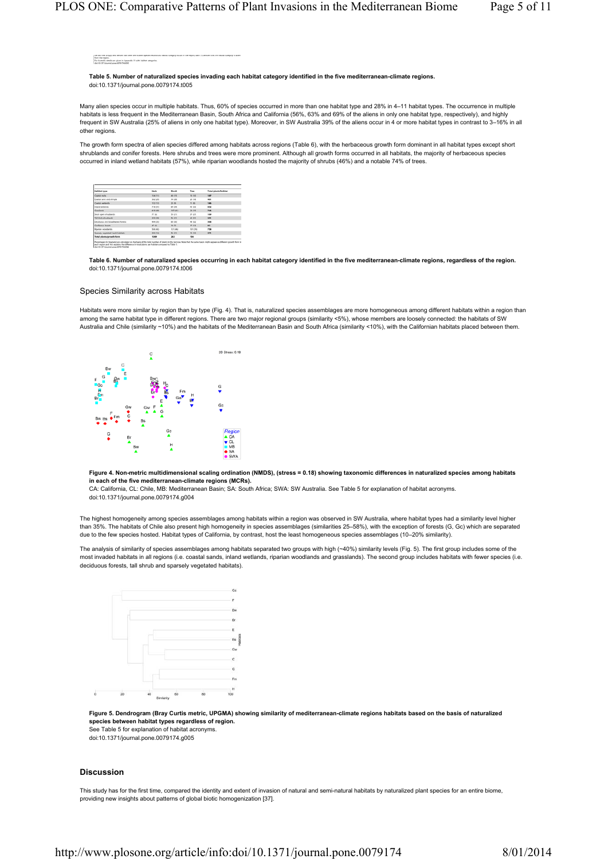**Bom the region.**<br>For Australia det

**Table 5. Number of naturalized species invading each habitat category identified in the five mediterranean-climate regions.** doi:10.1371/journal.pone.0079174.t005

Many alien species occur in multiple habitats. Thus, 60% of species occurred in more than one habitat type and 28% in 4–11 habitat types. The occurrence in multiple habitats is less frequent in the Mediterranean Basin, South Africa and California (56%, 63% and 69% of the aliens in only one habitat type, respectively), and highly frequent in SW Australia (25% of aliens in only one habitat type). Moreover, in SW Australia 39% of the aliens occur in 4 or more habitat types in contrast to 3–16% in all other regions.

The growth form spectra of alien species differed among habitats across regions (Table 6), with the herbaceous growth form dominant in all habitat types except short shrublands and conifer forests. Here shrubs and trees were more prominent. Although all growth forms occurred in all habitats, the majority of herbaceous species occurred in inland wetland habitats (57%), while riparian woodlands hosted the majority of shrubs (46%) and a notable 74% of trees.

| <b>Habitat type</b>               | Herb-          | Shrub          | <b>Track</b> | <b>Total plants/habitet</b> |
|-----------------------------------|----------------|----------------|--------------|-----------------------------|
| Counted marks                     | <b>TACOTA</b>  | 40 (1/0)       | 13, (10)     | 187                         |
| Countal sand and shingle          | 342 (29)       | 76 (28)        | 25 (14)      | 661                         |
| Countal wertands                  | 152 (12)       | 25 (9)         | 11.00        | 186                         |
| Infant satisfants                 | 718 (57)       | 49 (34)        | 45 (33)      | 852                         |
| Grasslands                        | 679,000        | 107 (41)       | 201193       | 744                         |
| Short open shrublands             | 22 162         | <b>35 (21)</b> | 32 (27)      | 569                         |
| Tall third should and a           | 253 (2th)      | 56 (21)        | 42 (31)      | 351                         |
| Decisionus and broadwayed forests | 644 (35)       | <b>AD OID</b>  | 44 (32)      | 568                         |
| Continous foreign                 | 47.00          | 18.0%          | 12, (13)     | $\bullet$                   |
| <b>Bowler woodwols</b>            | <b>SM (42)</b> | 121 (46)       | 101 (74)     | 754                         |
| Sparsely ungetated harsh habitats | 202 (16)       | 56 (21)        | 13,055       | 271                         |
| <b>Total plants/growth form</b>   | 1369           | 263            | 136          |                             |

**Table 6. Number of naturalized species occurring in each habitat category identified in the five mediterranean-climate regions, regardless of the region.** doi:10.1371/journal.pone.0079174.t006

### Species Similarity across Habitats

Habitats were more similar by region than by type (Fig. 4). That is, naturalized species assemblages are more homogeneous among different habitats within a region than among the same habitat type in different regions. There are two major regional groups (similarity <5%), whose members are loosely connected: the habitats of SW Australia and Chile (similarity ~10%) and the habitats of the Mediterranean Basin and South Africa (similarity <10%), with the Californian habitats placed between them.



**Figure 4. Non-metric multidimensional scaling ordination (NMDS), (stress = 0.18) showing taxonomic differences in naturalized species among habitats in each of the five mediterranean-climate regions (MCRs).**

CA: California, CL: Chile, MB: Mediterranean Basin; SA: South Africa; SWA: SW Australia. See Table 5 for explanation of habitat acronyms. doi:10.1371/journal.pone.0079174.g004

The highest homogeneity among species assemblages among habitats within a region was observed in SW Australia, where habitat types had a similarity level higher than 35%. The habitats of Chile also present high homogeneity in species assemblages (similarities 25–58%), with the exception of forests (G, Gc) which are separated due to the few species hosted. Habitat types of California, by contrast, host the least homogeneous species assemblages (10–20% similarity).

The analysis of similarity of species assemblages among habitats separated two groups with high (~40%) similarity levels (Fig. 5). The first group includes some of the most invaded habitats in all regions (i.e. coastal sands, inland wetlands, riparian woodlands and grasslands). The second group includes habitats with fewer species (i.e. deciduous forests, tall shrub and sparsely vegetated habitats).



**Figure 5. Dendrogram (Bray Curtis metric, UPGMA) showing similarity of mediterranean-climate regions habitats based on the basis of naturalized species between habitat types regardless of region.** See Table 5 for explanation of habitat acronyms.

doi:10.1371/journal.pone.0079174.g005

# **Discussion**

This study has for the first time, compared the identity and extent of invasion of natural and semi-natural habitats by naturalized plant species for an entire biome, providing new insights about patterns of global biotic homogenization [37].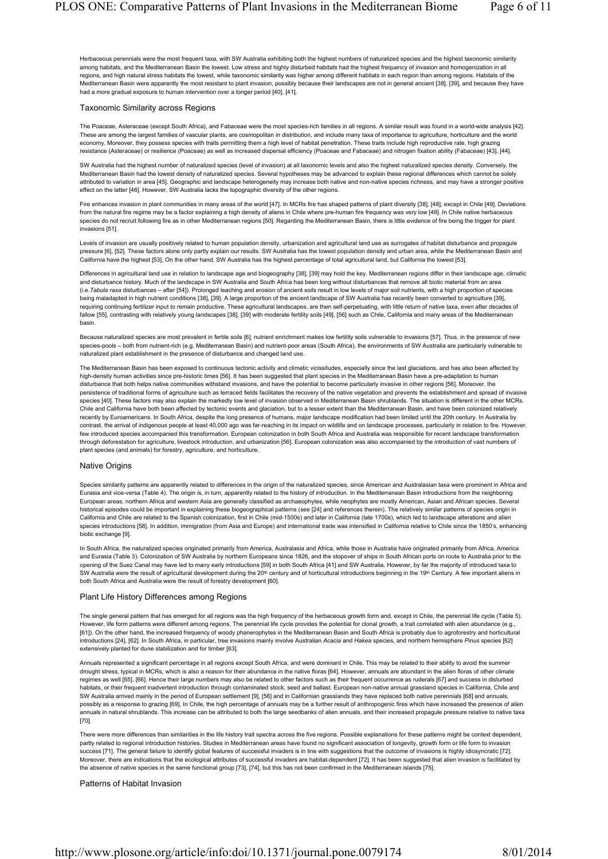Herbaceous perennials were the most frequent taxa, with SW Australia exhibiting both the highest numbers of naturalized species and the highest taxonomic similarity among habitats, and the Mediterranean Basin the lowest. Low stress and highly disturbed habitats had the highest frequency of invasion and homogenization in all regions, and high natural stress habitats the lowest, while taxonomic similarity was higher among different habitats in each region than among regions. Habitats of the Mediterranean Basin were apparently the most resistant to plant invasion, possibly because their landscapes are not in general ancient [38], [39], and because they have had a more gradual exposure to human intervention over a longer period [40], [41].

#### Taxonomic Similarity across Regions

The Poaceae, Asteraceae (except South Africa), and Fabaceae were the most species-rich families in all regions. A similar result was found in a world-wide analysis [42]. These are among the largest families of vascular plants, are cosmopolitan in distribution, and include many taxa of importance to agriculture, horticulture and the world economy. Moreover, they possess species with traits permitting them a high level of habitat penetration. These traits include high reproductive rate, high grazing resistance (Asteraceae) or resilience (Poaceae) as well as increased dispersal efficiency (Poaceae and Fabaceae) and nitrogen fixation ability (Fabaceae) [43], [44].

SW Australia had the highest number of naturalized species (level of invasion) at all taxonomic levels and also the highest naturalized species density. Conversely, the Mediterranean Basin had the lowest density of naturalized species. Several hypotheses may be advanced to explain these regional differences which cannot be solely attributed to variation in area [45]. Geographic and landscape heterogeneity may increase both native and non-native species richness, and may have a stronger positive effect on the latter [46]. However, SW Australia lacks the topographic diversity of the other regions.

Fire enhances invasion in plant communities in many areas of the world [47]. In MCRs fire has shaped patterns of plant diversity [38], [48], except in Chile [49]. Deviations from the natural fire regime may be a factor explaining a high density of aliens in Chile where pre-human fire frequency was very low [49]. In Chile native herbaceous species do not recruit following fire as in other Mediterranean regions [50]. Regarding the Mediterranean Basin, there is little evidence of fire being the trigger for plant invasions [51].

Levels of invasion are usually positively related to human population density, urbanization and agricultural land use as surrogates of habitat disturbance and propagule pressure [6], [52]. These factors alone only partly explain our results. SW Australia has the lowest population density and urban area, while the Mediterranean Basin and California have the highest [53]. On the other hand, SW Australia has the highest percentage of total agricultural land, but California the lowest [53].

Differences in agricultural land use in relation to landscape age and biogeography [38], [39] may hold the key. Mediterranean regions differ in their landscape age, climatic and disturbance history. Much of the landscape in SW Australia and South Africa has been long without disturbances that remove all biotic material from an area (i.e.*Tabula rasa* disturbances – after [54]). Prolonged leaching and erosion of ancient soils result in low levels of major soil nutrients, with a high proportion of species being maladapted in high nutrient conditions [38], [39]. A large proportion of the ancient landscape of SW Australia has recently been converted to agriculture [39], requiring continuing fertilizer input to remain productive. These agricultural landscapes, are then self-perpetuating, with little return of native taxa, even after decades of fallow [55], contrasting with relatively young landscapes [38], [39] with moderate fertility soils [49], [56] such as Chile, California and many areas of the Mediterranean basin.

Because naturalized species are most prevalent in fertile soils [6], nutrient enrichment makes low fertility soils vulnerable to invasions [57]. Thus, in the presence of new species-pools – both from nutrient-rich (e.g. Mediterranean Basin) and nutrient-poor areas (South Africa), the environments of SW Australia are particularly vulnerable to naturalized plant establishment in the presence of disturbance and changed land use.

The Mediterranean Basin has been exposed to continuous tectonic activity and climatic vicissitudes, especially since the last glaciations, and has also been affected by high-density human activities since pre-historic times [56]. It has been suggested that plant species in the Mediterranean Basin have a pre-adaptation to human disturbance that both helps native communities withstand invasions, and have the potential to become particularly invasive in other regions [56]. Moreover, the persistence of traditional forms of agriculture such as terraced fields facilitates the recovery of the native vegetation and prevents the establishment and spread of invasive species [40]. These factors may also explain the markedly low level of invasion observed in Mediterranean Basin shrublands. The situation is different in the other MCRs. Chile and California have both been affected by tectonic events and glaciation, but to a lesser extent than the Mediterranean Basin, and have been colonized relatively recently by Euroamericans. In South Africa, despite the long presence of humans, major landscape modification had been limited until the 20th century. In Australia by contrast, the arrival of indigenous people at least 40,000 ago was far-reaching in its impact on wildlife and on landscape processes, particularly in relation to fire. However, few introduced species accompanied this transformation. European colonization in both South Africa and Australia was responsible for recent landscape transformation through deforestation for agriculture, livestock introduction, and urbanization [56]. European colonization was also accompanied by the introduction of vast numbers of plant species (and animals) for forestry, agriculture, and horticulture.

#### Native Origins

Species similarity patterns are apparently related to differences in the origin of the naturalized species, since American and Australasian taxa were prominent in Africa and Eurasia and vice-versa (Table 4). The origin is, in turn, apparently related to the history of introduction. In the Mediterranean Basin introductions from the neighboring European areas, northern Africa and western Asia are generally classified as archaeophytes, while neophytes are mostly American, Asian and African species. Several historical episodes could be important in explaining these biogeographical patterns (see [24] and references therein). The relatively similar patterns of species origin in California and Chile are related to the Spanish colonization, first in Chile (mid-1500s) and later in California (late 1700s), which led to landscape alterations and alien species introductions [58]. In addition, immigration (from Asia and Europe) and international trade was intensified in California relative to Chile since the 1850's, enhancing biotic exchange [9].

In South Africa, the naturalized species originated primarily from America, Australasia and Africa, while those in Australia have originated primarily from Africa, America and Eurasia (Table 3). Colonization of SW Australia by northern Europeans since 1826, and the stopover of ships in South African ports on route to Australia prior to the opening of the Suez Canal may have led to many early introductions [59] in both South Africa [41] and SW Australia. However, by far the majority of introduced taxa to SW Australia were the result of agricultural development during the 20<sup>th</sup> century and of horticultural introductions beginning in the 19<sup>th</sup> Century. A few important aliens in both South Africa and Australia were the result of forestry development [60].

### Plant Life History Differences among Regions

The single general pattern that has emerged for all regions was the high frequency of the herbaceous growth form and, except in Chile, the perennial life cycle (Table 5). However, life form patterns were different among regions. The perennial life cycle provides the potential for clonal growth, a trait correlated with alien abundance (e.g., [61]). On the other hand, the increased frequency of woody phanerophytes in the Mediterranean Basin and South Africa is probably due to agroforestry and horticultural introductions [24], [62]. In South Africa, in particular, tree invasions mainly involve Australian *Acacia* and *Hakea* species, and northern hemisphere *Pinus* species [62] extensively planted for dune stabilization and for timber [63].

Annuals represented a significant percentage in all regions except South Africa, and were dominant in Chile. This may be related to their ability to avoid the summer drought stress, typical in MCRs, which is also a reason for their abundance in the native floras [64]. However, annuals are abundant in the alien floras of other climate regimes as well [65], [66]. Hence their large numbers may also be related to other factors such as their frequent occurrence as ruderals [67] and success in disturbed habitats, or their frequent inadvertent introduction through contaminated stock, seed and ballast. European non-native annual grassland species in California, Chile and SW Australia arrived mainly in the period of European settlement [9], [56] and in Californian grasslands they have replaced both native perennials [68] and annuals, possibly as a response to grazing [69]. In Chile, the high percentage of annuals may be a further result of anthropogenic fires which have increased the presence of alien annuals in natural shrublands. This increase can be attributed to both the large seedbanks of alien annuals, and their increased propagule pressure relative to native taxa [70].

There were more differences than similarities in the life history trait spectra across the five regions. Possible explanations for these patterns might be context dependent, partly related to regional introduction histories. Studies in Mediterranean areas have found no significant association of longevity, growth form or life form to invasion success [71]. The general failure to identify global features of successful invaders is in line with suggestions that the outcome of invasions is highly idiosyncratic [72]. Moreover, there are indications that the ecological attributes of successful invaders are habitat-dependent [72]. It has been suggested that alien invasion is facilitated by the absence of native species in the same functional group [73], [74], but this has not been confirmed in the Mediterranean islands [75].

#### Patterns of Habitat Invasion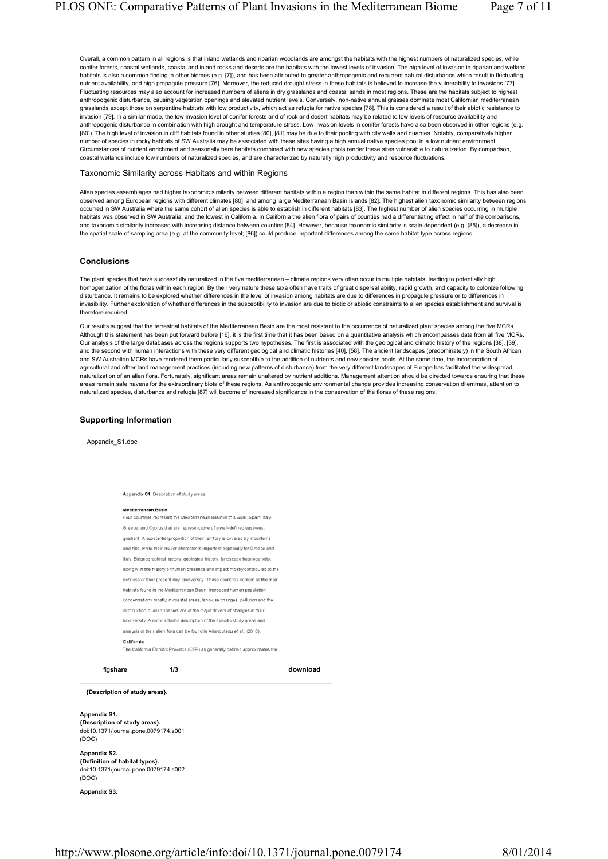Overall, a common pattern in all regions is that inland wetlands and riparian woodlands are amongst the habitats with the highest numbers of naturalized species, while conifer forests, coastal wetlands, coastal and inland rocks and deserts are the habitats with the lowest levels of invasion. The high level of invasion in riparian and wetland habitats is also a common finding in other biomes (e.g. [7]), and has been attributed to greater anthropogenic and recurrent natural disturbance which result in fluctuating nutrient availability, and high propagule pressure [76]. Moreover, the reduced drought stress in these habitats is believed to increase the vulnerability to invasions [77]. Fluctuating resources may also account for increased numbers of aliens in dry grasslands and coastal sands in most regions. These are the habitats subject to highest anthropogenic disturbance, causing vegetation openings and elevated nutrient levels. Conversely, non-native annual grasses dominate most Californian mediterranean grasslands except those on serpentine habitats with low productivity, which act as refugia for native species [78]. This is considered a result of their abiotic resistance to invasion [79]. In a similar mode, the low invasion level of conifer forests and of rock and desert habitats may be related to low levels of resource availability and anthropogenic disturbance in combination with high drought and temperature stress. Low invasion levels in conifer forests have also been observed in other regions (e.g. [80]). The high level of invasion in cliff habitats found in other studies [80], [81] may be due to their pooling with city walls and quarries. Notably, comparatively higher number of species in rocky habitats of SW Australia may be associated with these sites having a high annual native species pool in a low nutrient environment. Circumstances of nutrient enrichment and seasonally bare habitats combined with new species pools render these sites vulnerable to naturalization. By comparison, coastal wetlands include low numbers of naturalized species, and are characterized by naturally high productivity and resource fluctuations.

### Taxonomic Similarity across Habitats and within Regions

Alien species assemblages had higher taxonomic similarity between different habitats within a region than within the same habitat in different regions. This has also been observed among European regions with different climates [80], and among large Mediterranean Basin islands [82]. The highest alien taxonomic similarity between regions occurred in SW Australia where the same cohort of alien species is able to establish in different habitats [83]. The highest number of alien species occurring in multiple habitats was observed in SW Australia, and the lowest in California. In California the alien flora of pairs of counties had a differentiating effect in half of the comparisons, and taxonomic similarity increased with increasing distance between counties [84]. However, because taxonomic similarity is scale-dependent (e.g. [85]), a decrease in the spatial scale of sampling area (e.g. at the community level; [86]) could produce important differences among the same habitat type across regions.

## **Conclusions**

The plant species that have successfully naturalized in the five mediterranean – climate regions very often occur in multiple habitats, leading to potentially high homogenization of the floras within each region. By their very nature these taxa often have traits of great dispersal ability, rapid growth, and capacity to colonize following disturbance. It remains to be explored whether differences in the level of invasion among habitats are due to differences in propagule pressure or to differences in invasibility. Further exploration of whether differences in the susceptibility to invasion are due to biotic or abiotic constraints to alien species establishment and survival is therefore required.

Our results suggest that the terrestrial habitats of the Mediterranean Basin are the most resistant to the occurrence of naturalized plant species among the five MCRs. Although this statement has been put forward before [16], it is the first time that it has been based on a quantitative analysis which encompasses data from all five MCRs. Our analysis of the large databases across the regions supports two hypotheses. The first is associated with the geological and climatic history of the regions [38], [39], and the second with human interactions with these very different geological and climatic histories [40], [58]. The ancient landscapes (predominately) in the South African and SW Australian MCRs have rendered them particularly susceptible to the addition of nutrients and new species pools. At the same time, the incorporation of agricultural and other land management practices (including new patterns of disturbance) from the very different landscapes of Europe has facilitated the widespread naturalization of an alien flora. Fortunately, significant areas remain unaltered by nutrient additions. Management attention should be directed towards ensuring that these areas remain safe havens for the extraordinary biota of these regions. As anthropogenic environmental change provides increasing conservation dilemmas, attention to naturalized species, disturbance and refugia [87] will become of increased significance in the conservation of the floras of these regions.

### **Supporting Information**

Appendix\_S1.doc

#### Appendix \$1. Description of study areas

#### Maditerranean Basin

Four countries represent the Mediterranean Basin in this work. Spain, Italy, Greece, and Cyprus that are representative of a well-defined east-west gradient. A substantial proportion of their territory is covered by mountains and hills, while their insular character is important especially for Greece and Italy. Biogeographical factors, geological history, landscape heterogeneity, along with the history of human nresence and impact mostly contributed to the richness of their present-day biodiversity. These countries contain all the main habitats found in the Mediterranean Basin. Increased human population concentrations mostly in coastal areas, land-use changes, pollution and the introduction of alien species are of the major drivers of changes in their biodiversity. A more detailed description of the specific study areas and analysis of their alien flora can be found in Arianoutsou et al. (2010). California The California Floristic Province (CFP) as generally defined approximates the

**{Description of study areas}.**

**Appendix S1. {Description of study areas}.** doi:10.1371/journal.pone.0079174.s001 (DOC)

**Appendix S2. {Definition of habitat types}.** doi:10.1371/journal.pone.0079174.s002 (DOC)

**Appendix S3.**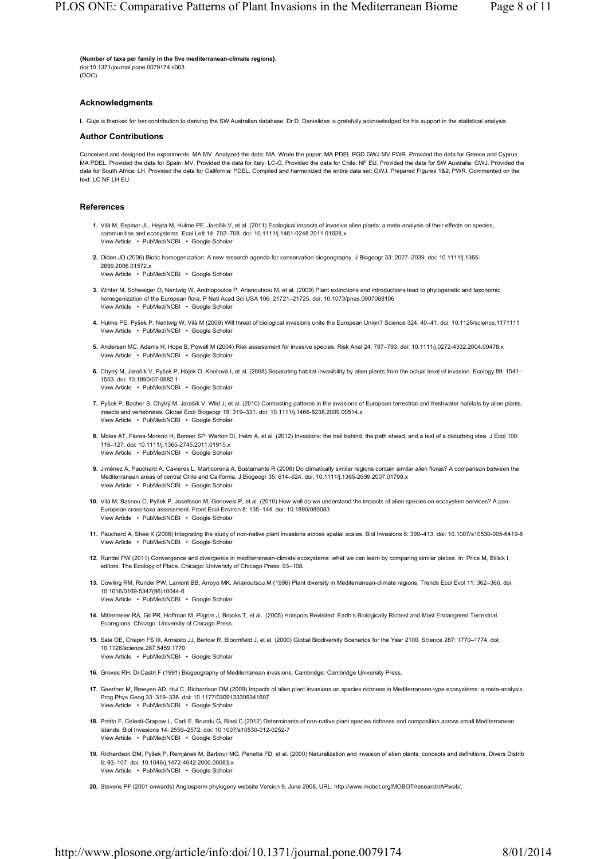**{Number of taxa per family in the five mediterranean-climate regions}.** doi:10.1371/journal.pone.0079174.s003 (DOC)

# **Acknowledgments**

L. Guja is thanked for her contribution to deriving the SW Australian database. Dr D. Danielides is gratefully acknowledged for his support in the statistical analysis.

## **Author Contributions**

Conceived and designed the experiments: MA MV. Analyzed the data: MA. Wrote the paper: MA PDEL PGD GWJ MV PWR. Provided the data for Greece and Cyprus: MA PDEL. Provided the data for Spain: MV. Provided the data for Italy: LC-G. Provided the data for Chile: NF EU. Provided the data for SW Australia: GWJ. Provided the data for South Africa: LH. Provided the data for California: PDEL. Compiled and harmonized the entire data set: GWJ. Prepared Figures 1&2: PWR. Commented on the text: LC NF LH EU.

# **References**

- **1.**  Vilà M, Espinar JL, Hejda M, Hulme PE, Jarošik V, et al. (2011) Ecological impacts of invasive alien plants: a meta-analysis of their effects on species, View Article • PubMed/NCBI • Google Scholar communities and ecosystems. Ecol Lett 14: 702–708. doi: 10.1111/j.1461-0248.2011.01628.x
- **2.**  Olden JD (2006) Biotic homogenization: A new research agenda for conservation biogeography. J Biogeogr 33: 2027–2039. doi: 10.1111/j.1365- View Article • PubMed/NCBI • Google Scholar 2699.2006.01572.x
- **3.**  Winter M, Schweiger O, Nentwig W, Andriopoulos P, Arianoutsou M, et al. (2009) Plant extinctions and introductions lead to phylogenetic and taxonomic View Article • PubMed/NCBI • Google Scholar homogenization of the European flora. P Natl Acad Sci USA 106: 21721–21725. doi: 10.1073/pnas.0907088106
- **4.**  Hulme PE, Pyšek P, Nentwig W, Vilà M (2009) Will threat of biological invasions unite the European Union? Science 324: 40–41. doi: 10.1126/science.1171111 View Article • PubMed/NCBI • Google Scholar
- **5.**  Andersen MC, Adams H, Hope B, Powell M (2004) Risk assessment for invasive species. Risk Anal 24: 787–793. doi: 10.1111/j.0272-4332.2004.00478.x View Article • PubMed/NCBI • Google Scholar
- **6.**  Chytrý M, Jarošík V, Pyšek P, Hájek O, Knollová I, et al. (2008) Separating habitat invasibility by alien plants from the actual level of invasion. Ecology 89: 1541– View Article • PubMed/NCBI • Google Scholar 1553. doi: 10.1890/07-0682.1
- **7.**  Pyšek P, Bacher S, Chytrý M, Jarošík V, Wild J, et al. (2010) Contrasting patterns in the invasions of European terrestrial and freshwater habitats by alien plants, View Article • PubMed/NCBI • Google Scholar insects and vertebrates. Global Ecol Biogeogr 19: 319–331. doi: 10.1111/j.1466-8238.2009.00514.x
- **8.**  Moles AT, Flores-Moreno H, Bonser SP, Warton DI, Helm A, et al. (2012) Invasions: the trail behind, the path ahead, and a test of a disturbing idea. J Ecol 100: View Article • PubMed/NCBI • Google Scholar 116–127. doi: 10.1111/j.1365-2745.2011.01915.x
- **9.**  Jiménez A, Pauchard A, Cavieres L, Marticorena A, Bustamante R (2008) Do climatically similar regions contain similar alien floras? A comparison between the View Article • PubMed/NCBI • Google Scholar Mediterranean areas of central Chile and California. J Biogeogr 35: 614–624. doi: 10.1111/j.1365-2699.2007.01799.x
- **10.**  Vilà M, Basnou C, Pyšek P, Josefsson M, Genovesi P, et al. (2010) How well do we understand the impacts of alien species on ecosystem services? A pan-View Article • PubMed/NCBI • Google Scholar European cross-taxa assessment. Front Ecol Environ 8: 135–144. doi: 10.1890/080083
- **11.**  Pauchard A, Shea K (2006) Integrating the study of non-native plant invasions across spatial scales. Biol Invasions 8: 399–413. doi: 10.1007/s10530-005-6419-8 View Article • PubMed/NCBI • Google Scholar
- **12.**  Rundel PW (2011) Convergence and divergence in mediterranean-climate ecosystems: what we can learn by comparing similar places. In: Price M, Billick I, editors. The Ecology of Place. Chicago: University of Chicago Press. 93–108.
- **13.**  Cowling RM, Rundel PW, Lamont BB, Arroyo MK, Arianoutsou M (1996) Plant diversity in Mediterranean-climate regions. Trends Ecol Evol 11: 362–366. doi: View Article • PubMed/NCBI • Google Scholar 10.1016/0169-5347(96)10044-6
- **14.**  Mittermeier RA, Gil PR, Hoffman M, Pilgrim J, Brooks T, et al.. (2005) Hotspots Revisited: Earth's Biologically Richest and Most Endangered Terrestrial Ecoregions. Chicago: University of Chicago Press.
- **15.**  Sala OE, Chapin FS III, Armesto JJ, Berlow R, Bloomfield J, et al. (2000) Global Biodiversity Scenarios for the Year 2100. Science 287: 1770–1774. doi: View Article • PubMed/NCBI • Google Scholar 10.1126/science.287.5459.1770
- **16.**  Groves RH, Di Castri F (1991) Biogeography of Mediterranean invasions. Cambridge: Cambridge University Press.
- **17.**  Gaertner M, Breeyen AD, Hui C, Richardson DM (2009) Impacts of alien plant invasions on species richness in Mediterranean-type ecosystems: a meta-analysis. View Article • PubMed/NCBI • Google Scholar Prog Phys Geog 33: 319–338. doi: 10.1177/0309133309341607
- **18.**  Pretto F, Celesti-Grapow L, Carli E, Brundu G, Blasi C (2012) Determinants of non-native plant species richness and composition across small Mediterranean View Article • PubMed/NCBI • Google Scholar islands. Biol Invasions 14: 2559–2572. doi: 10.1007/s10530-012-0252-7
- **19.**  Richardson DM, Pyšek P, Remjánek M, Barbour MG, Panetta FD, et al. (2000) Naturalization and invasion of alien plants: concepts and definitions. Divers Distrib View Article • PubMed/NCBI • Google Schola 6: 93–107. doi: 10.1046/j.1472-4642.2000.00083.x
- **20.**  Stevens PF (2001 onwards) Angiosperm phylogeny website Version 9, June 2008, URL: http://www.mobot.org/MOBOT/research/APweb/.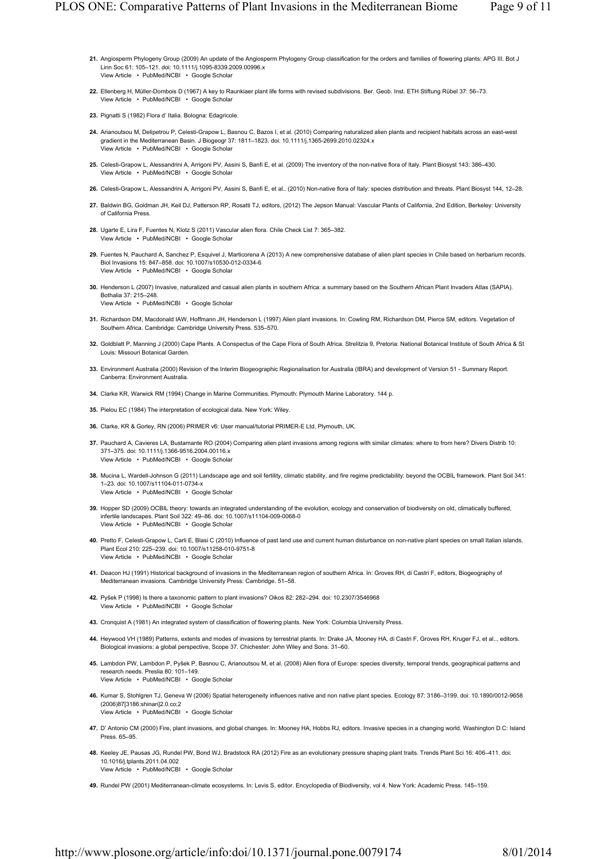- **21.**  Angiosperm Phylogeny Group (2009) An update of the Angiosperm Phylogeny Group classification for the orders and families of flowering plants: APG III. Bot J View Article • PubMed/NCBI • Google Scholar Linn Soc 61: 105–121. doi: 10.1111/j.1095-8339.2009.00996.x
- **22.**  Ellenberg H, Müller-Dombois D (1967) A key to Raunkiaer plant life forms with revised subdivisions. Ber. Geob. Inst. ETH Stiftung Rübel 37: 56–73. View Article • PubMed/NCBI • Google Scholar
- **23.**  Pignatti S (1982) Flora d' Italia. Bologna: Edagricole.
- **24.**  Arianoutsou M, Delipetrou P, Celesti-Grapow L, Basnou C, Bazos I, et al. (2010) Comparing naturalized alien plants and recipient habitats across an east-west View Article • PubMed/NCBI • Google Scholar gradient in the Mediterranean Basin. J Biogeogr 37: 1811–1823. doi: 10.1111/j.1365-2699.2010.02324.x
- **25.**  Celesti-Grapow L, Alessandrini A, Arrigoni PV, Assini S, Banfi E, et al. (2009) The inventory of the non-native flora of Italy. Plant Biosyst 143: 386–430. View Article • PubMed/NCBI • Google Scholar
- **26.**  Celesti-Grapow L, Alessandrini A, Arrigoni PV, Assini S, Banfi E, et al.. (2010) Non-native flora of Italy: species distribution and threats. Plant Biosyst 144, 12–28.
- **27.**  Baldwin BG, Goldman JH, Keil DJ, Patterson RP, Rosatti TJ, editors, (2012) The Jepson Manual: Vascular Plants of California, 2nd Edition, Berkeley: University of California Press.
- **28.**  Ugarte E, Lira F, Fuentes N, Klotz S (2011) Vascular alien flora. Chile Check List 7: 365–382. View Article • PubMed/NCBI • Google Scholar
- **29.**  Fuentes N, Pauchard A, Sanchez P, Esquivel J, Marticorena A (2013) A new comprehensive database of alien plant species in Chile based on herbarium records. View Article • PubMed/NCBI • Google Scholar Biol Invasions 15: 847–858. doi: 10.1007/s10530-012-0334-6
- **30.**  Henderson L (2007) Invasive, naturalized and casual alien plants in southern Africa: a summary based on the Southern African Plant Invaders Atlas (SAPIA). View Article • PubMed/NCBI • Google Scholar Bothalia 37: 215–248.
- **31.**  Richardson DM, Macdonald IAW, Hoffmann JH, Henderson L (1997) Alien plant invasions. In: Cowling RM, Richardson DM, Pierce SM, editors. Vegetation of Southern Africa. Cambridge: Cambridge University Press. 535–570.
- **32.**  Goldblatt P, Manning J (2000) Cape Plants. A Conspectus of the Cape Flora of South Africa. Strelitzia 9, Pretoria: National Botanical Institute of South Africa & St Louis: Missouri Botanical Garden.
- **33.**  Environment Australia (2000) Revision of the Interim Biogeographic Regionalisation for Australia (IBRA) and development of Version 51 Summary Report. Canberra: Environment Australia.
- **34.**  Clarke KR, Warwick RM (1994) Change in Marine Communities. Plymouth: Plymouth Marine Laboratory. 144 p.
- **35.**  Pielou EC (1984) The interpretation of ecological data. New York: Wiley.
- **36.**  Clarke, KR & Gorley, RN (2006) PRIMER v6: User manual/tutorial PRIMER-E Ltd, Plymouth, UK.
- **37.**  Pauchard A, Cavieres LA, Bustamante RO (2004) Comparing alien plant invasions among regions with similar climates: where to from here? Divers Distrib 10: View Article • PubMed/NCBI • Google Scholar 371–375. doi: 10.1111/j.1366-9516.2004.00116.x
- **38.**  Mucina L, Wardell-Johnson G (2011) Landscape age and soil fertility, climatic stability, and fire regime predictability: beyond the OCBIL framework. Plant Soil 341: View Article • PubMed/NCBI • Google Scholar 1–23. doi: 10.1007/s11104-011-0734-x
- **39.**  Hopper SD (2009) OCBIL theory: towards an integrated understanding of the evolution, ecology and conservation of biodiversity on old, climatically buffered, View Article • PubMed/NCBI • Google Scholar infertile landscapes. Plant Soil 322: 49–86. doi: 10.1007/s11104-009-0068-0
- **40.**  Pretto F, Celesti-Grapow L, Carli E, Blasi C (2010) Influence of past land use and current human disturbance on non-native plant species on small Italian islands. View Article • PubMed/NCBI • Google Scholar Plant Ecol 210: 225–239. doi: 10.1007/s11258-010-9751-8
- **41.**  Deacon HJ (1991) Historical background of invasions in the Mediterranean region of southern Africa. In: Groves RH, di Castri F, editors, Biogeography of Mediterranean invasions. Cambridge University Press: Cambridge. 51–58.
- **42.**  Pyšek P (1998) Is there a taxonomic pattern to plant invasions? Oikos 82: 282–294. doi: 10.2307/3546968 View Article • PubMed/NCBI • Google Scholar
- **43.**  Cronquist A (1981) An integrated system of classification of flowering plants. New York: Columbia University Press.
- **44.**  Heywood VH (1989) Patterns, extents and modes of invasions by terrestrial plants. In: Drake JA, Mooney HA, di Castri F, Groves RH, Kruger FJ, et al.., editors. Biological invasions: a global perspective, Scope 37. Chichester: John Wiley and Sons. 31–60.
- **45.**  Lambdon PW, Lambdon P, Pyšek P, Basnou C, Arianoutsou M, et al. (2008) Alien flora of Europe: species diversity, temporal trends, geographical patterns and View Article • PubMed/NCBI • Google Scholar research needs. Preslia 80: 101–149.
- **46.**  Kumar S, Stohlgren TJ, Geneva W (2006) Spatial heterogeneity influences native and non native plant species. Ecology 87: 3186–3199. doi: 10.1890/0012-9658 View Article • PubMed/NCBI • Google Scholar (2006)87[3186:shinan]2.0.co;2
- **47.**  D' Antonio CM (2000) Fire, plant invasions, and global changes. In: Mooney HA, Hobbs RJ, editors. Invasive species in a changing world. Washington D.C: Island Press. 65–95.
- **48.**  Keeley JE, Pausas JG, Rundel PW, Bond WJ, Bradstock RA (2012) Fire as an evolutionary pressure shaping plant traits. Trends Plant Sci 16: 406–411. doi: View Article • PubMed/NCBI • Google Scholar 10.1016/j.tplants.2011.04.002
- **49.**  Rundel PW (2001) Mediterranean-climate ecosystems. In: Levis S, editor. Encyclopedia of Biodiversity, vol 4. New York: Academic Press. 145–159.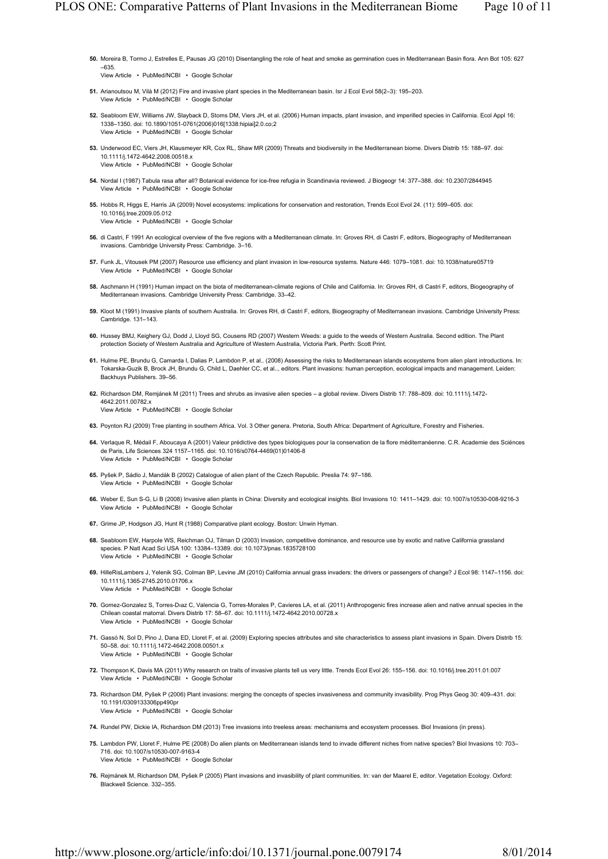**50.**  Moreira B, Tormo J, Estrelles E, Pausas JG (2010) Disentangling the role of heat and smoke as germination cues in Mediterranean Basin flora. Ann Bot 105: 627 –635.

View Article • PubMed/NCBI • Google Scholar

- **51.**  Arianoutsou M, Vilà M (2012) Fire and invasive plant species in the Mediterranean basin. Isr J Ecol Evol 58(2–3): 195–203. View Article • PubMed/NCBI • Google Scholar
- **52.**  Seabloom EW, Williams JW, Slayback D, Stoms DM, Viers JH, et al. (2006) Human impacts, plant invasion, and imperilled species in California. Ecol Appl 16: View Article • PubMed/NCBI • Google Scholar 1338–1350. doi: 10.1890/1051-0761(2006)016[1338:hipiai]2.0.co;2
- **53.**  Underwood EC, Viers JH, Klausmeyer KR, Cox RL, Shaw MR (2009) Threats and biodiversity in the Mediterranean biome. Divers Distrib 15: 188–97. doi: View Article • PubMed/NCBI • Google Scholar 10.1111/j.1472-4642.2008.00518.x
- **54.**  Nordal I (1987) Tabula rasa after all? Botanical evidence for ice-free refugia in Scandinavia reviewed. J Biogeogr 14: 377–388. doi: 10.2307/2844945 View Article • PubMed/NCBI • Google Scholar
- **55.**  Hobbs R, Higgs E, Harris JA (2009) Novel ecosystems: implications for conservation and restoration, Trends Ecol Evol 24. (11): 599–605. doi: View Article • PubMed/NCBI • Google Scholar 10.1016/j.tree.2009.05.012
- **56.**  di Castri, F 1991 An ecological overview of the five regions with a Mediterranean climate. In: Groves RH, di Castri F, editors, Biogeography of Mediterranean invasions. Cambridge University Press: Cambridge. 3–16.
- **57.**  Funk JL, Vitousek PM (2007) Resource use efficiency and plant invasion in low-resource systems. Nature 446: 1079–1081. doi: 10.1038/nature05719 View Article • PubMed/NCBI • Google Scholar
- **58.**  Aschmann H (1991) Human impact on the biota of mediterranean-climate regions of Chile and California. In: Groves RH, di Castri F, editors, Biogeography of Mediterranean invasions. Cambridge University Press: Cambridge. 33–42.
- **59.**  Kloot M (1991) Invasive plants of southern Australia. In: Groves RH, di Castri F, editors, Biogeography of Mediterranean invasions. Cambridge University Press: Cambridge. 131–143.
- **60.**  Hussey BMJ, Keighery GJ, Dodd J, Lloyd SG, Cousens RD (2007) Western Weeds: a guide to the weeds of Western Australia. Second edition. The Plant protection Society of Western Australia and Agriculture of Western Australia, Victoria Park. Perth: Scott Print.
- **61.**  Hulme PE, Brundu G, Camarda I, Dalias P, Lambdon P, et al.. (2008) Assessing the risks to Mediterranean islands ecosystems from alien plant introductions. In: Tokarska-Guzik B, Brock JH, Brundu G, Child L, Daehler CC, et al.., editors. Plant invasions: human perception, ecological impacts and management. Leiden: Backhuys Publishers. 39–56.
- **62.**  Richardson DM, Remjánek M (2011) Trees and shrubs as invasive alien species a global review. Divers Distrib 17: 788–809. doi: 10.1111/j.1472- View Article • PubMed/NCBI • Google Scholar 4642.2011.00782.x
- **63.**  Poynton RJ (2009) Tree planting in southern Africa. Vol. 3 Other genera. Pretoria, South Africa: Department of Agriculture, Forestry and Fisheries.
- **64.**  Verlaque R, Médail F, Aboucaya A (2001) Valeur prédictive des types biologiques pour la conservation de la flore méditerranéenne. C.R. Academie des Sciénces View Article • PubMed/NCBI • Google Scholar de Paris, Life Sciences 324 1157–1165. doi: 10.1016/s0764-4469(01)01406-8
- **65.**  Pyšek P, Sádlo J, Mandák B (2002) Catalogue of alien plant of the Czech Republic. Preslia 74: 97–186. View Article • PubMed/NCBI • Google Scholar
- **66.**  Weber E, Sun S-G, Li B (2008) Invasive alien plants in China: Diversity and ecological insights. Biol Invasions 10: 1411–1429. doi: 10.1007/s10530-008-9216-3 View Article • PubMed/NCBI • Google Scholar
- **67.**  Grime JP, Hodgson JG, Hunt R (1988) Comparative plant ecology. Boston: Unwin Hyman.
- **68.**  Seabloom EW, Harpole WS, Reichman OJ, Tilman D (2003) Invasion, competitive dominance, and resource use by exotic and native California grassland View Article • PubMed/NCBI • Google Scholar species. P Natl Acad Sci USA 100: 13384–13389. doi: 10.1073/pnas.1835728100
- **69.**  HilleRisLambers J, Yelenik SG, Colman BP, Levine JM (2010) California annual grass invaders: the drivers or passengers of change? J Ecol 98: 1147–1156. doi: View Article • PubMed/NCBI • Google Scholar 10.1111/j.1365-2745.2010.01706.x
- **70.**  Gomez-Gonzalez S, Torres-Dıaz C, Valencia G, Torres-Morales P, Cavieres LA, et al. (2011) Anthropogenic fires increase alien and native annual species in the View Article • PubMed/NCBI • Google Scholar Chilean coastal matorral. Divers Distrib 17: 58–67. doi: 10.1111/j.1472-4642.2010.00728.x
- **71.**  Gassó N, Sol D, Pino J, Dana ED, Lloret F, et al. (2009) Exploring species attributes and site characteristics to assess plant invasions in Spain. Divers Distrib 15: View Article • PubMed/NCBI • Google Scholar 50–58. doi: 10.1111/j.1472-4642.2008.00501.x
- **72.**  Thompson K, Davis MA (2011) Why research on traits of invasive plants tell us very little. Trends Ecol Evol 26: 155–156. doi: 10.1016/j.tree.2011.01.007 View Article • PubMed/NCBI • Google Schola
- **73.**  Richardson DM, Pyšek P (2006) Plant invasions: merging the concepts of species invasiveness and community invasibility. Prog Phys Geog 30: 409–431. doi: View Article • PubMed/NCBI • Google Scholar 10.1191/0309133306pp490pr
- **74.**  Rundel PW, Dickie IA, Richardson DM (2013) Tree invasions into treeless areas: mechanisms and ecosystem processes. Biol Invasions (in press).
- **75.**  Lambdon PW, Lloret F, Hulme PE (2008) Do alien plants on Mediterranean islands tend to invade different niches from native species? Biol Invasions 10: 703– View Article • PubMed/NCBI • Google Scholar 716. doi: 10.1007/s10530-007-9163-4
- **76.**  Rejmánek M, Richardson DM, Pyšek P (2005) Plant invasions and invasibility of plant communities. In: van der Maarel E, editor. Vegetation Ecology. Oxford: Blackwell Science. 332–355.